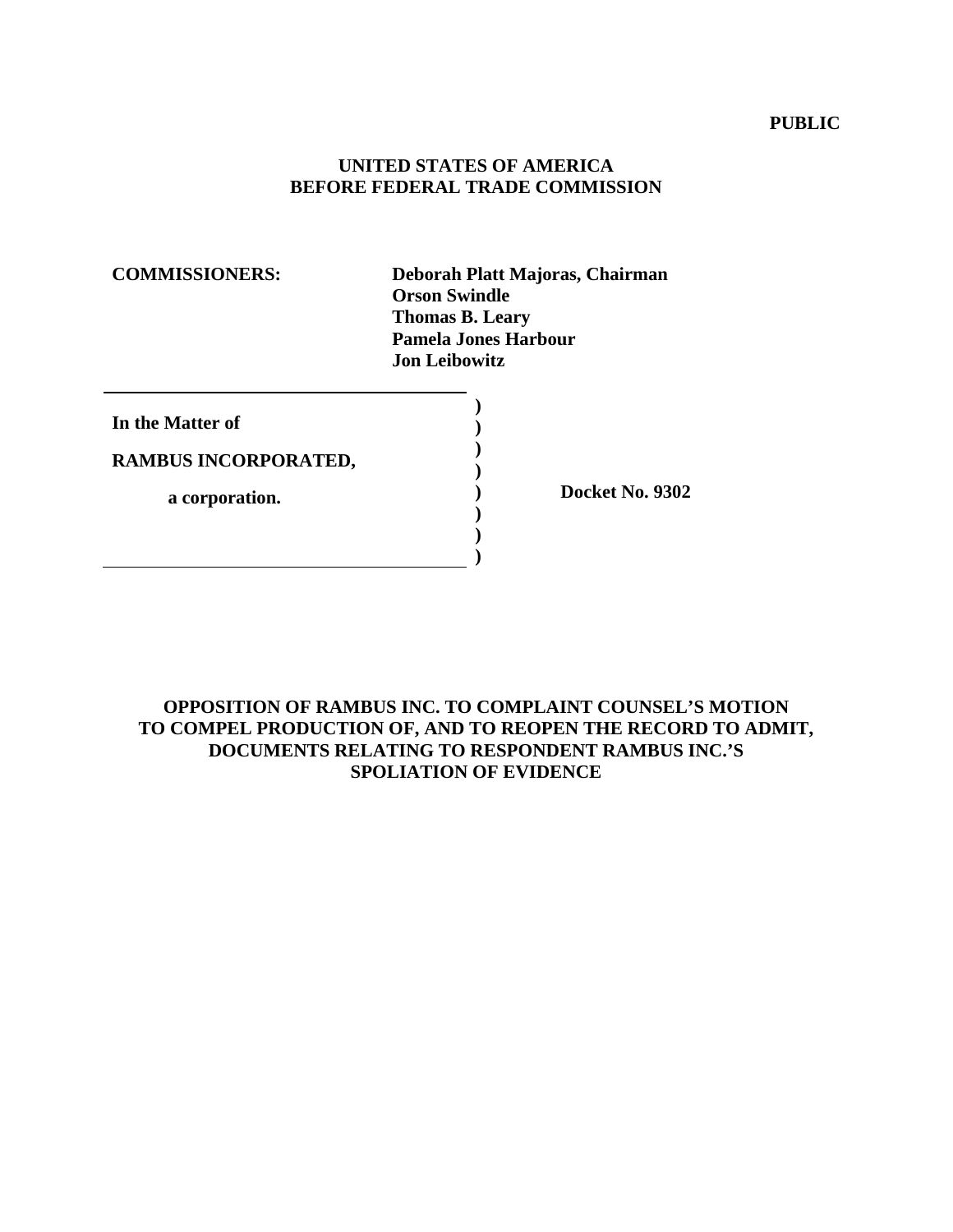#### **PUBLIC**

# **UNITED STATES OF AMERICA BEFORE FEDERAL TRADE COMMISSION**

**COMMISSIONERS: Deborah Platt Majoras, Chairman Orson Swindle Thomas B. Leary Pamela Jones Harbour Jon Leibowitz** 

| In the Matter of     |  |
|----------------------|--|
| RAMBUS INCORPORATED, |  |
| a corporation.       |  |
|                      |  |

**) Docket No. 9302** 

# **OPPOSITION OF RAMBUS INC. TO COMPLAINT COUNSEL'S MOTION TO COMPEL PRODUCTION OF, AND TO REOPEN THE RECORD TO ADMIT, DOCUMENTS RELATING TO RESPONDENT RAMBUS INC.'S SPOLIATION OF EVIDENCE**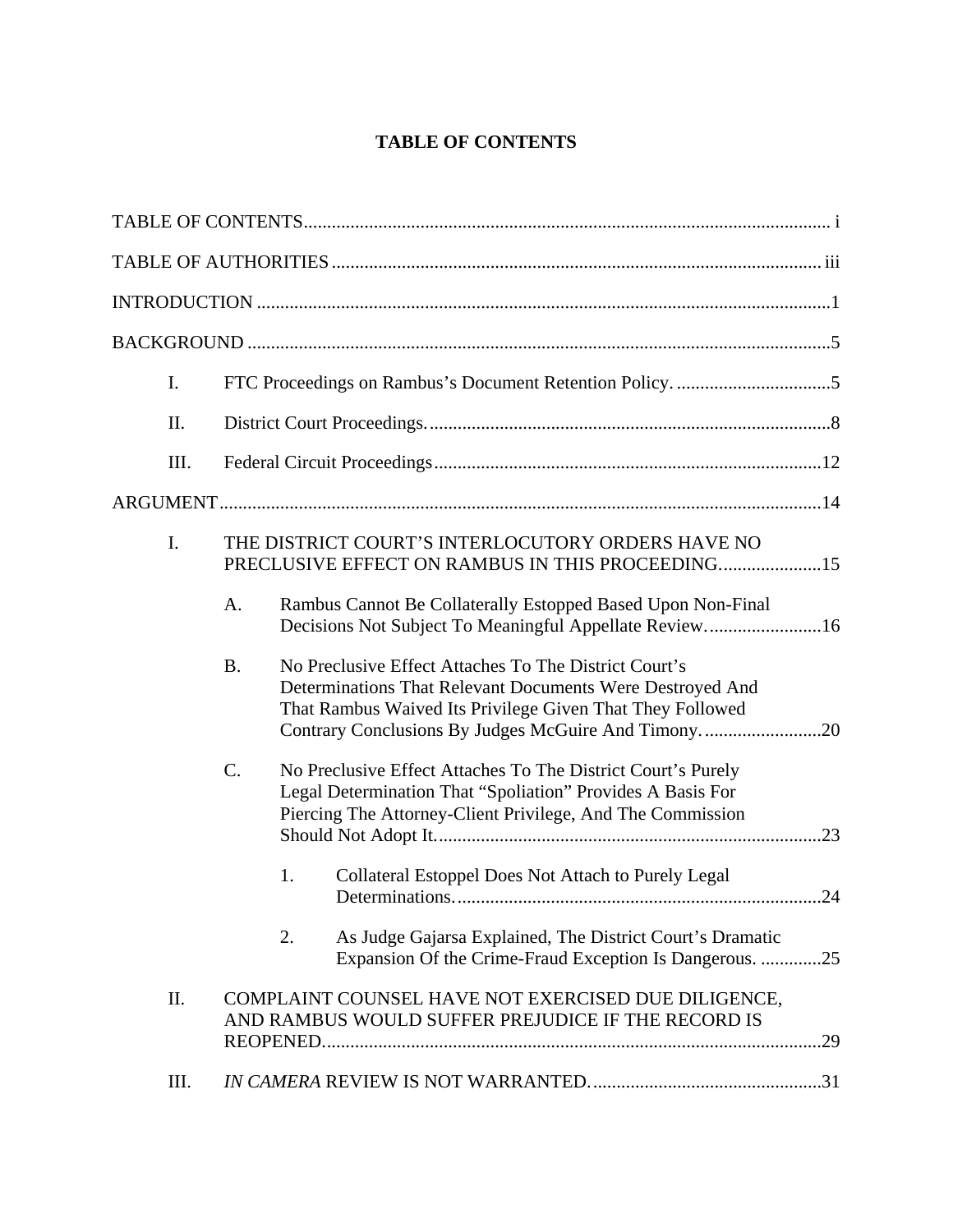# **TABLE OF CONTENTS**

| I.   |           |                                                                                                                                                                                                                                        |  |
|------|-----------|----------------------------------------------------------------------------------------------------------------------------------------------------------------------------------------------------------------------------------------|--|
| Π.   |           |                                                                                                                                                                                                                                        |  |
| Ш.   |           |                                                                                                                                                                                                                                        |  |
|      |           |                                                                                                                                                                                                                                        |  |
| I.   |           | THE DISTRICT COURT'S INTERLOCUTORY ORDERS HAVE NO<br>PRECLUSIVE EFFECT ON RAMBUS IN THIS PROCEEDING15                                                                                                                                  |  |
|      | A.        | Rambus Cannot Be Collaterally Estopped Based Upon Non-Final<br>Decisions Not Subject To Meaningful Appellate Review16                                                                                                                  |  |
|      | <b>B.</b> | No Preclusive Effect Attaches To The District Court's<br>Determinations That Relevant Documents Were Destroyed And<br>That Rambus Waived Its Privilege Given That They Followed<br>Contrary Conclusions By Judges McGuire And Timony20 |  |
|      | C.        | No Preclusive Effect Attaches To The District Court's Purely<br>Legal Determination That "Spoliation" Provides A Basis For<br>Piercing The Attorney-Client Privilege, And The Commission                                               |  |
|      |           | 1.<br>Collateral Estoppel Does Not Attach to Purely Legal                                                                                                                                                                              |  |
|      |           | 2.<br>As Judge Gajarsa Explained, The District Court's Dramatic<br>Expansion Of the Crime-Fraud Exception Is Dangerous. 25                                                                                                             |  |
| Π.   |           | COMPLAINT COUNSEL HAVE NOT EXERCISED DUE DILIGENCE,<br>AND RAMBUS WOULD SUFFER PREJUDICE IF THE RECORD IS                                                                                                                              |  |
| III. |           |                                                                                                                                                                                                                                        |  |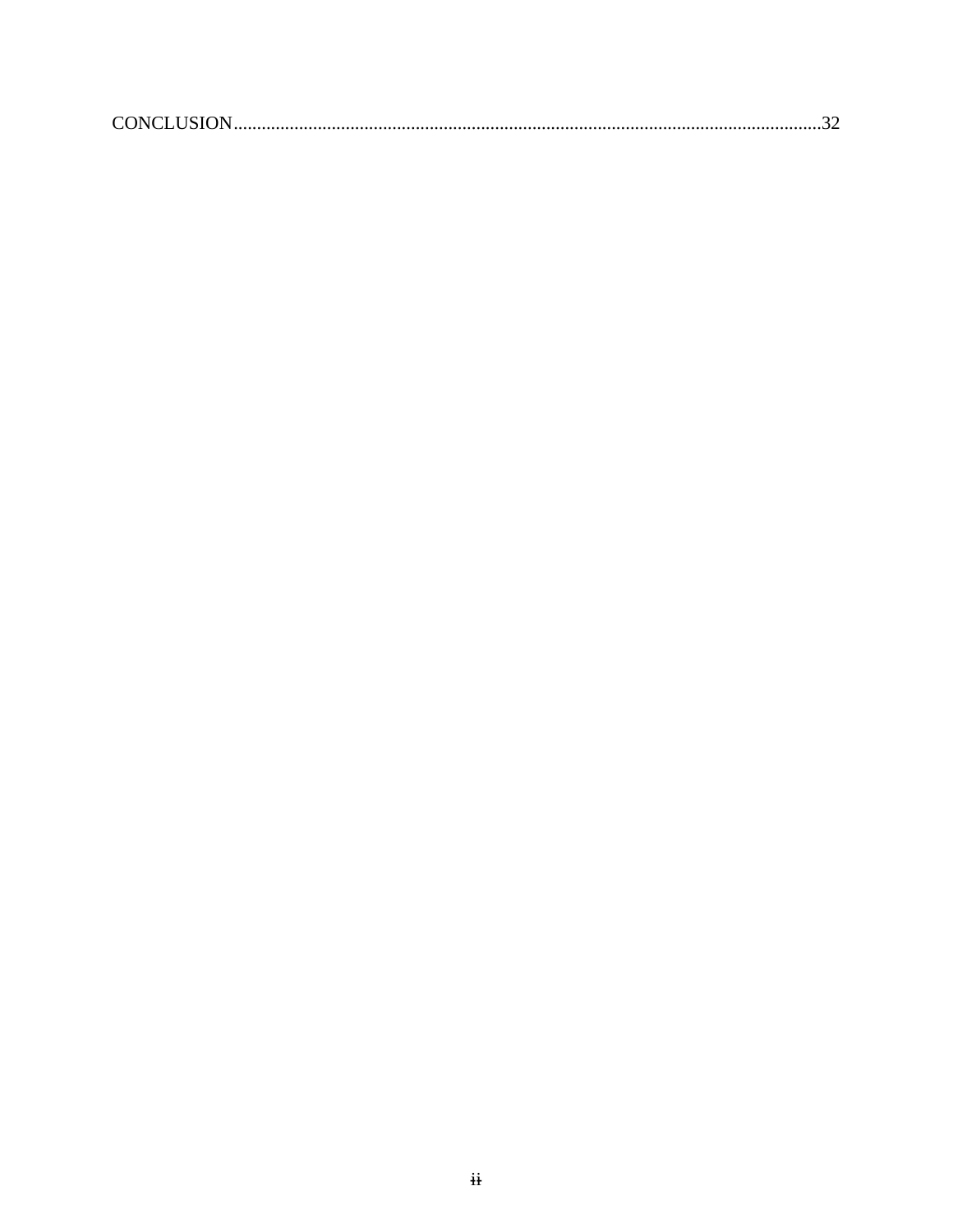|--|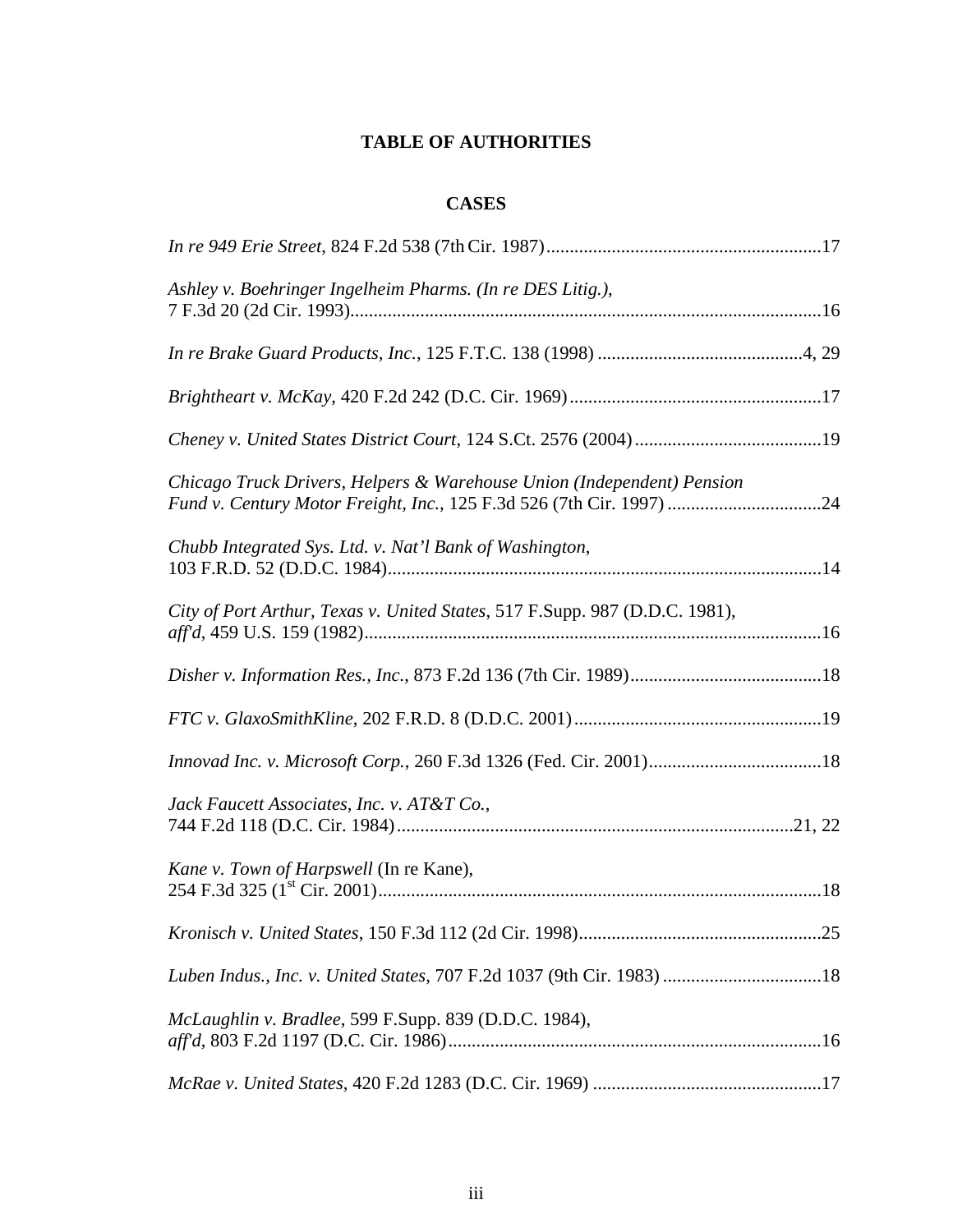# **TABLE OF AUTHORITIES**

# **CASES**

| Ashley v. Boehringer Ingelheim Pharms. (In re DES Litig.),                                                                                     |  |
|------------------------------------------------------------------------------------------------------------------------------------------------|--|
|                                                                                                                                                |  |
|                                                                                                                                                |  |
|                                                                                                                                                |  |
| Chicago Truck Drivers, Helpers & Warehouse Union (Independent) Pension<br>Fund v. Century Motor Freight, Inc., 125 F.3d 526 (7th Cir. 1997) 24 |  |
| Chubb Integrated Sys. Ltd. v. Nat'l Bank of Washington,                                                                                        |  |
| City of Port Arthur, Texas v. United States, 517 F.Supp. 987 (D.D.C. 1981),                                                                    |  |
|                                                                                                                                                |  |
|                                                                                                                                                |  |
|                                                                                                                                                |  |
| Jack Faucett Associates, Inc. v. AT&T Co.,                                                                                                     |  |
| Kane v. Town of Harpswell (In re Kane),                                                                                                        |  |
|                                                                                                                                                |  |
| Luben Indus., Inc. v. United States, 707 F.2d 1037 (9th Cir. 1983) 18                                                                          |  |
| McLaughlin v. Bradlee, 599 F.Supp. 839 (D.D.C. 1984),                                                                                          |  |
|                                                                                                                                                |  |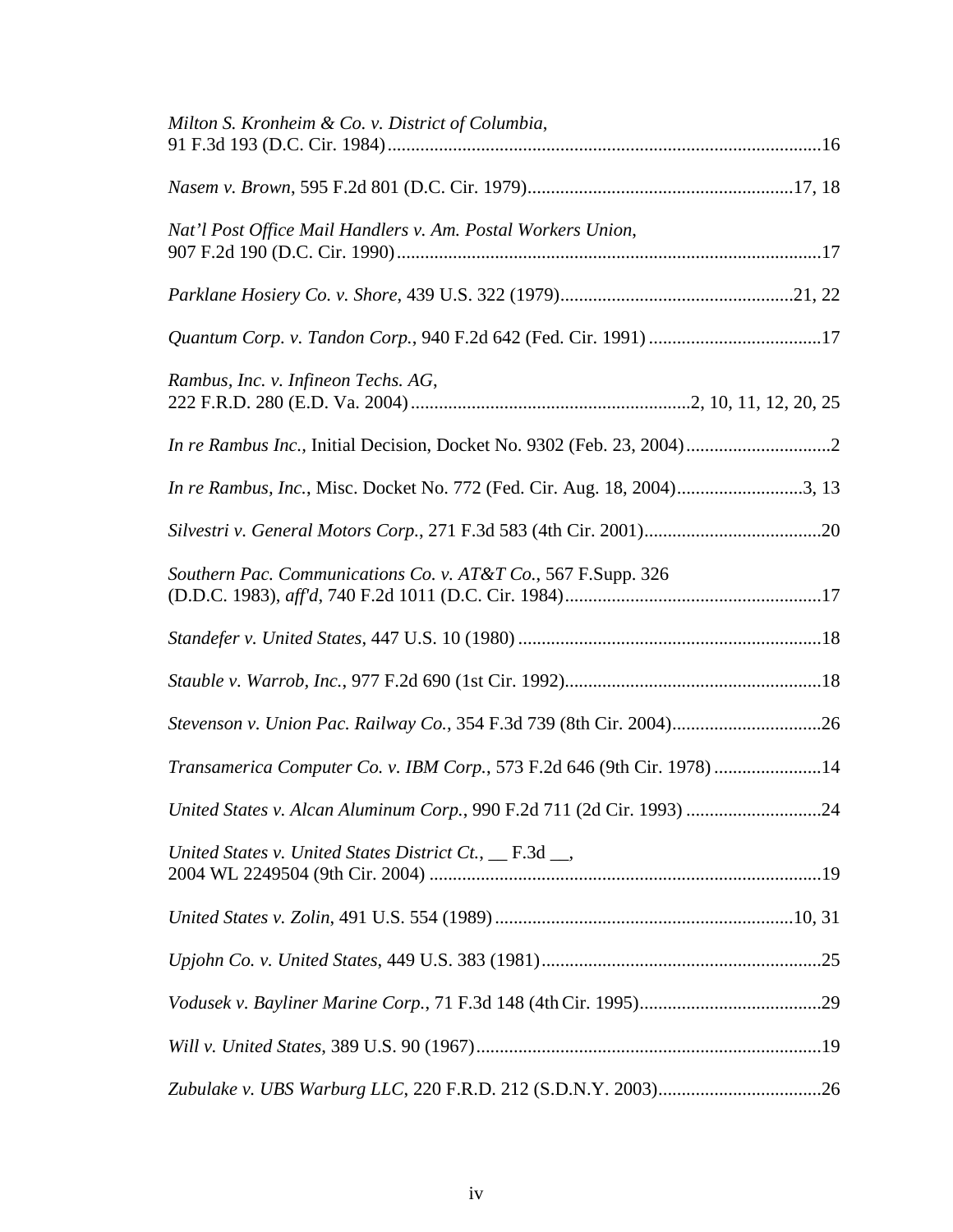| Milton S. Kronheim & Co. v. District of Columbia,                       |
|-------------------------------------------------------------------------|
|                                                                         |
| Nat'l Post Office Mail Handlers v. Am. Postal Workers Union,            |
|                                                                         |
|                                                                         |
| Rambus, Inc. v. Infineon Techs. AG,                                     |
| In re Rambus Inc., Initial Decision, Docket No. 9302 (Feb. 23, 2004)2   |
| In re Rambus, Inc., Misc. Docket No. 772 (Fed. Cir. Aug. 18, 2004)3, 13 |
|                                                                         |
| Southern Pac. Communications Co. v. AT&T Co., 567 F.Supp. 326           |
|                                                                         |
|                                                                         |
| Stevenson v. Union Pac. Railway Co., 354 F.3d 739 (8th Cir. 2004)26     |
| Transamerica Computer Co. v. IBM Corp., 573 F.2d 646 (9th Cir. 1978) 14 |
| United States v. Alcan Aluminum Corp., 990 F.2d 711 (2d Cir. 1993) 24   |
| United States v. United States District Ct., __ F.3d __,                |
|                                                                         |
|                                                                         |
|                                                                         |
|                                                                         |
|                                                                         |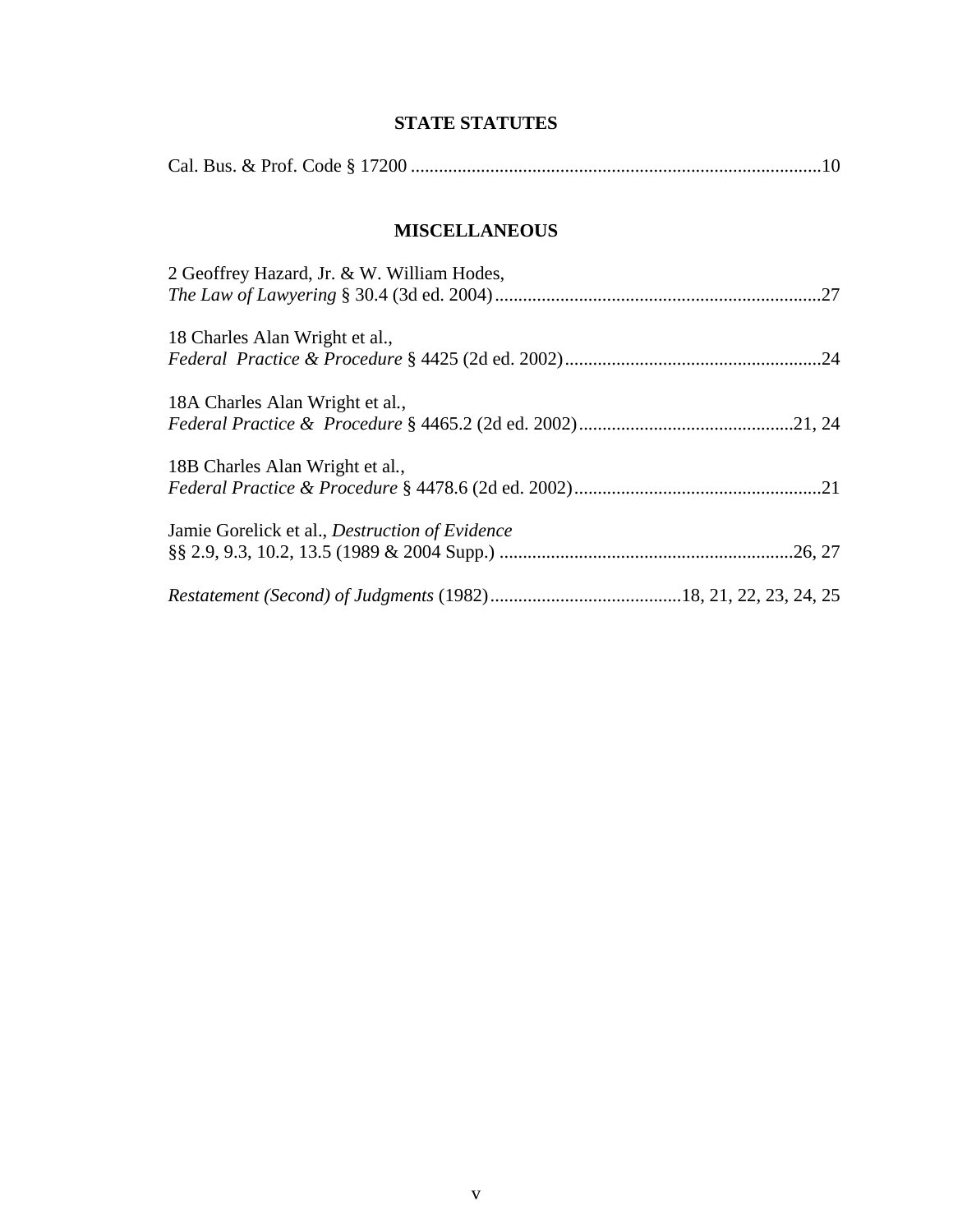# **STATE STATUTES**

# **MISCELLANEOUS**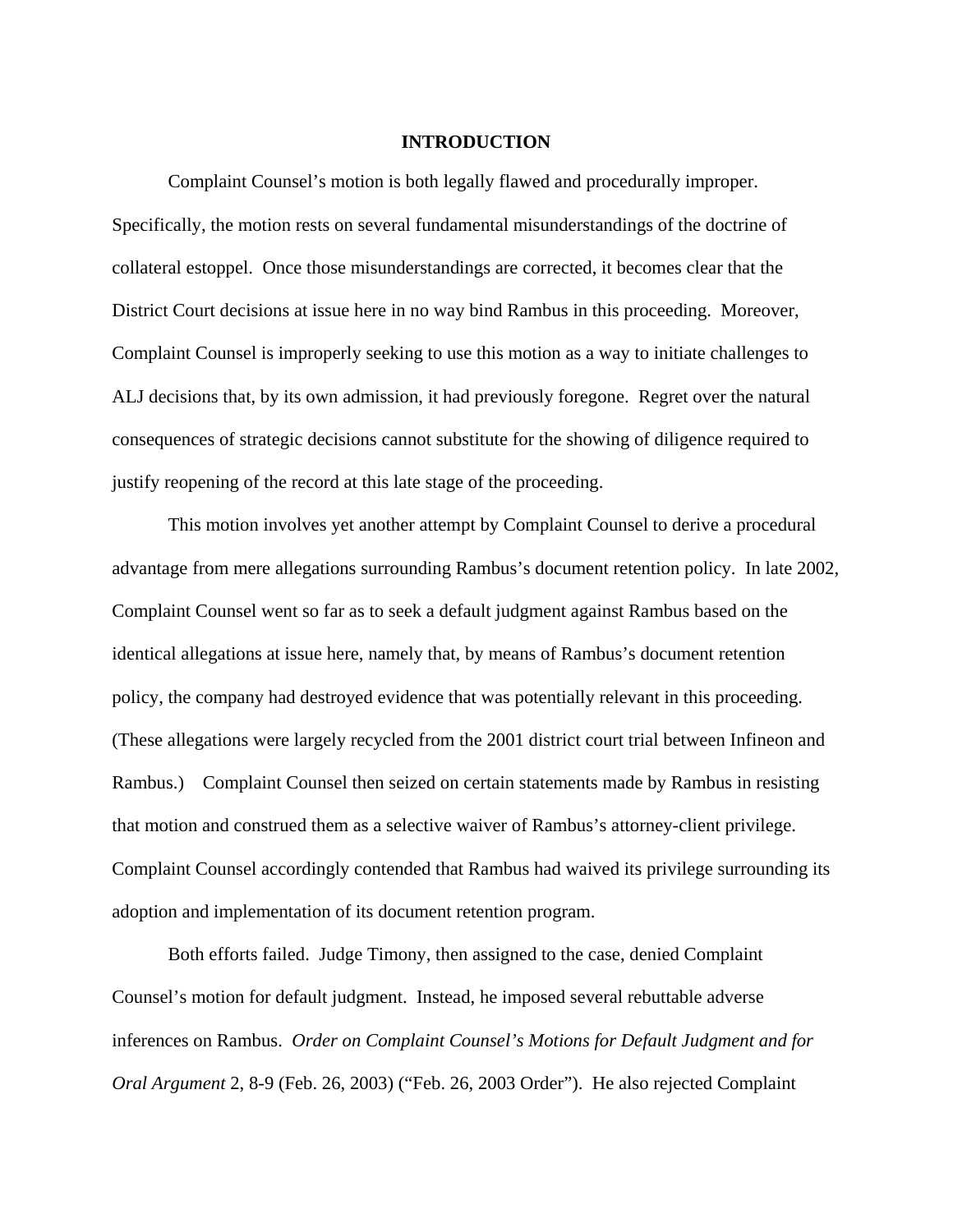#### **INTRODUCTION**

Complaint Counsel's motion is both legally flawed and procedurally improper. Specifically, the motion rests on several fundamental misunderstandings of the doctrine of collateral estoppel. Once those misunderstandings are corrected, it becomes clear that the District Court decisions at issue here in no way bind Rambus in this proceeding. Moreover, Complaint Counsel is improperly seeking to use this motion as a way to initiate challenges to ALJ decisions that, by its own admission, it had previously foregone. Regret over the natural consequences of strategic decisions cannot substitute for the showing of diligence required to justify reopening of the record at this late stage of the proceeding.

This motion involves yet another attempt by Complaint Counsel to derive a procedural advantage from mere allegations surrounding Rambus's document retention policy. In late 2002, Complaint Counsel went so far as to seek a default judgment against Rambus based on the identical allegations at issue here, namely that, by means of Rambus's document retention policy, the company had destroyed evidence that was potentially relevant in this proceeding. (These allegations were largely recycled from the 2001 district court trial between Infineon and Rambus.) Complaint Counsel then seized on certain statements made by Rambus in resisting that motion and construed them as a selective waiver of Rambus's attorney-client privilege. Complaint Counsel accordingly contended that Rambus had waived its privilege surrounding its adoption and implementation of its document retention program.

Both efforts failed. Judge Timony, then assigned to the case, denied Complaint Counsel's motion for default judgment. Instead, he imposed several rebuttable adverse inferences on Rambus. *Order on Complaint Counsel's Motions for Default Judgment and for Oral Argument* 2, 8-9 (Feb. 26, 2003) ("Feb. 26, 2003 Order"). He also rejected Complaint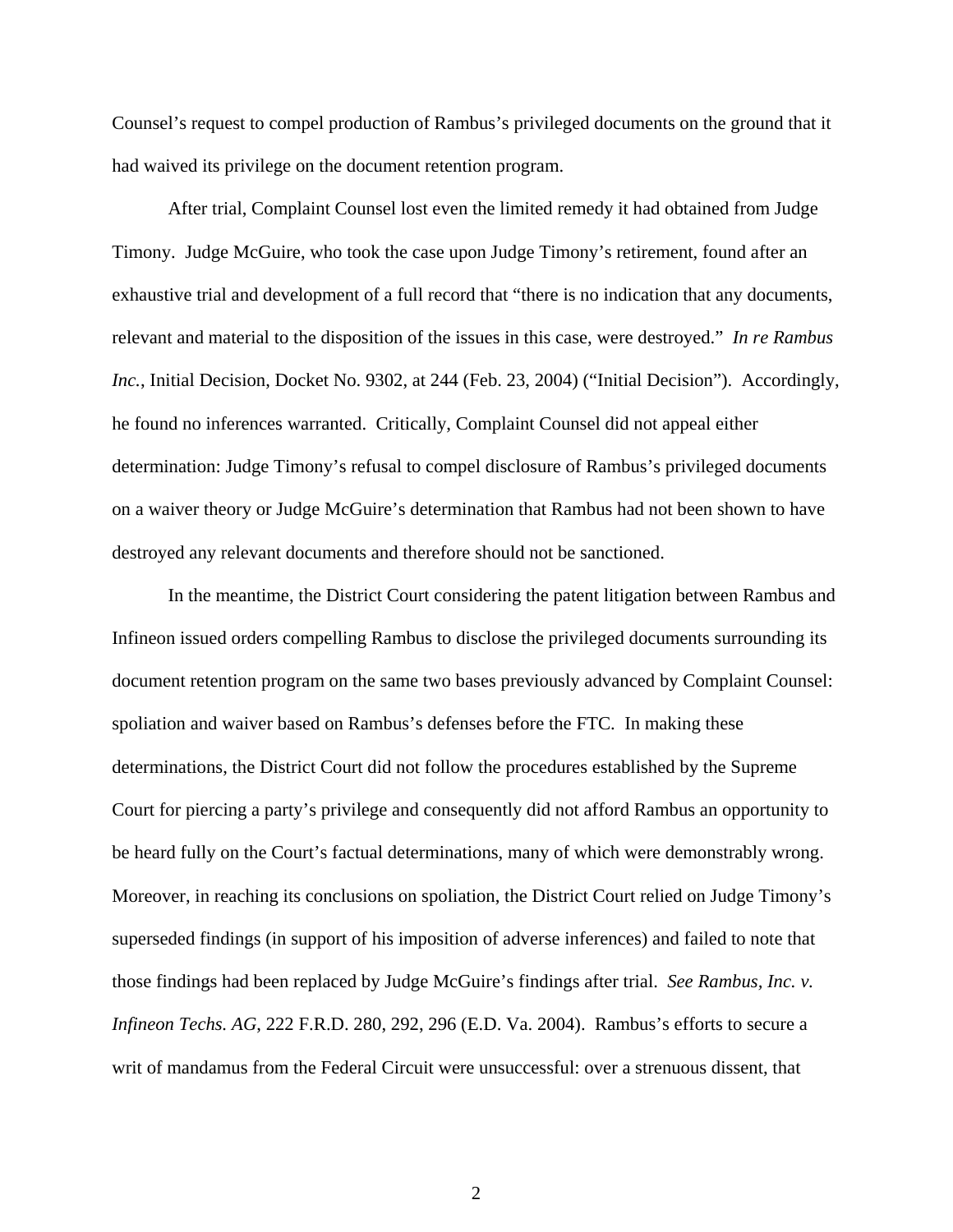Counsel's request to compel production of Rambus's privileged documents on the ground that it had waived its privilege on the document retention program.

After trial, Complaint Counsel lost even the limited remedy it had obtained from Judge Timony. Judge McGuire, who took the case upon Judge Timony's retirement, found after an exhaustive trial and development of a full record that "there is no indication that any documents, relevant and material to the disposition of the issues in this case, were destroyed." *In re Rambus Inc.*, Initial Decision, Docket No. 9302, at 244 (Feb. 23, 2004) ("Initial Decision"). Accordingly, he found no inferences warranted. Critically, Complaint Counsel did not appeal either determination: Judge Timony's refusal to compel disclosure of Rambus's privileged documents on a waiver theory or Judge McGuire's determination that Rambus had not been shown to have destroyed any relevant documents and therefore should not be sanctioned.

In the meantime, the District Court considering the patent litigation between Rambus and Infineon issued orders compelling Rambus to disclose the privileged documents surrounding its document retention program on the same two bases previously advanced by Complaint Counsel: spoliation and waiver based on Rambus's defenses before the FTC. In making these determinations, the District Court did not follow the procedures established by the Supreme Court for piercing a party's privilege and consequently did not afford Rambus an opportunity to be heard fully on the Court's factual determinations, many of which were demonstrably wrong. Moreover, in reaching its conclusions on spoliation, the District Court relied on Judge Timony's superseded findings (in support of his imposition of adverse inferences) and failed to note that those findings had been replaced by Judge McGuire's findings after trial. *See Rambus, Inc. v. Infineon Techs. AG*, 222 F.R.D. 280, 292, 296 (E.D. Va. 2004). Rambus's efforts to secure a writ of mandamus from the Federal Circuit were unsuccessful: over a strenuous dissent, that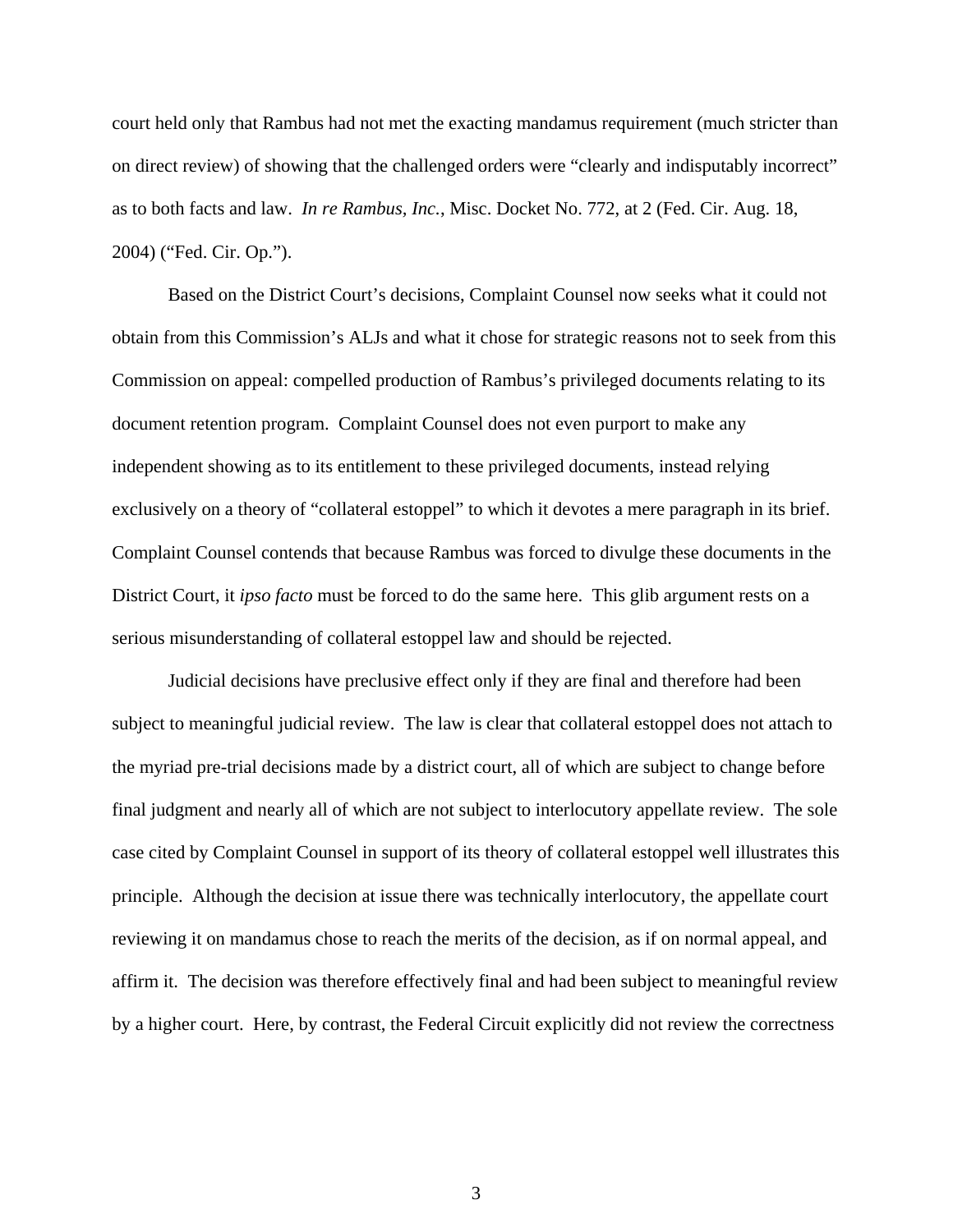court held only that Rambus had not met the exacting mandamus requirement (much stricter than on direct review) of showing that the challenged orders were "clearly and indisputably incorrect" as to both facts and law. *In re Rambus, Inc.*, Misc. Docket No. 772, at 2 (Fed. Cir. Aug. 18, 2004) ("Fed. Cir. Op.").

Based on the District Court's decisions, Complaint Counsel now seeks what it could not obtain from this Commission's ALJs and what it chose for strategic reasons not to seek from this Commission on appeal: compelled production of Rambus's privileged documents relating to its document retention program. Complaint Counsel does not even purport to make any independent showing as to its entitlement to these privileged documents, instead relying exclusively on a theory of "collateral estoppel" to which it devotes a mere paragraph in its brief. Complaint Counsel contends that because Rambus was forced to divulge these documents in the District Court, it *ipso facto* must be forced to do the same here. This glib argument rests on a serious misunderstanding of collateral estoppel law and should be rejected.

Judicial decisions have preclusive effect only if they are final and therefore had been subject to meaningful judicial review. The law is clear that collateral estoppel does not attach to the myriad pre-trial decisions made by a district court, all of which are subject to change before final judgment and nearly all of which are not subject to interlocutory appellate review. The sole case cited by Complaint Counsel in support of its theory of collateral estoppel well illustrates this principle. Although the decision at issue there was technically interlocutory, the appellate court reviewing it on mandamus chose to reach the merits of the decision, as if on normal appeal, and affirm it. The decision was therefore effectively final and had been subject to meaningful review by a higher court. Here, by contrast, the Federal Circuit explicitly did not review the correctness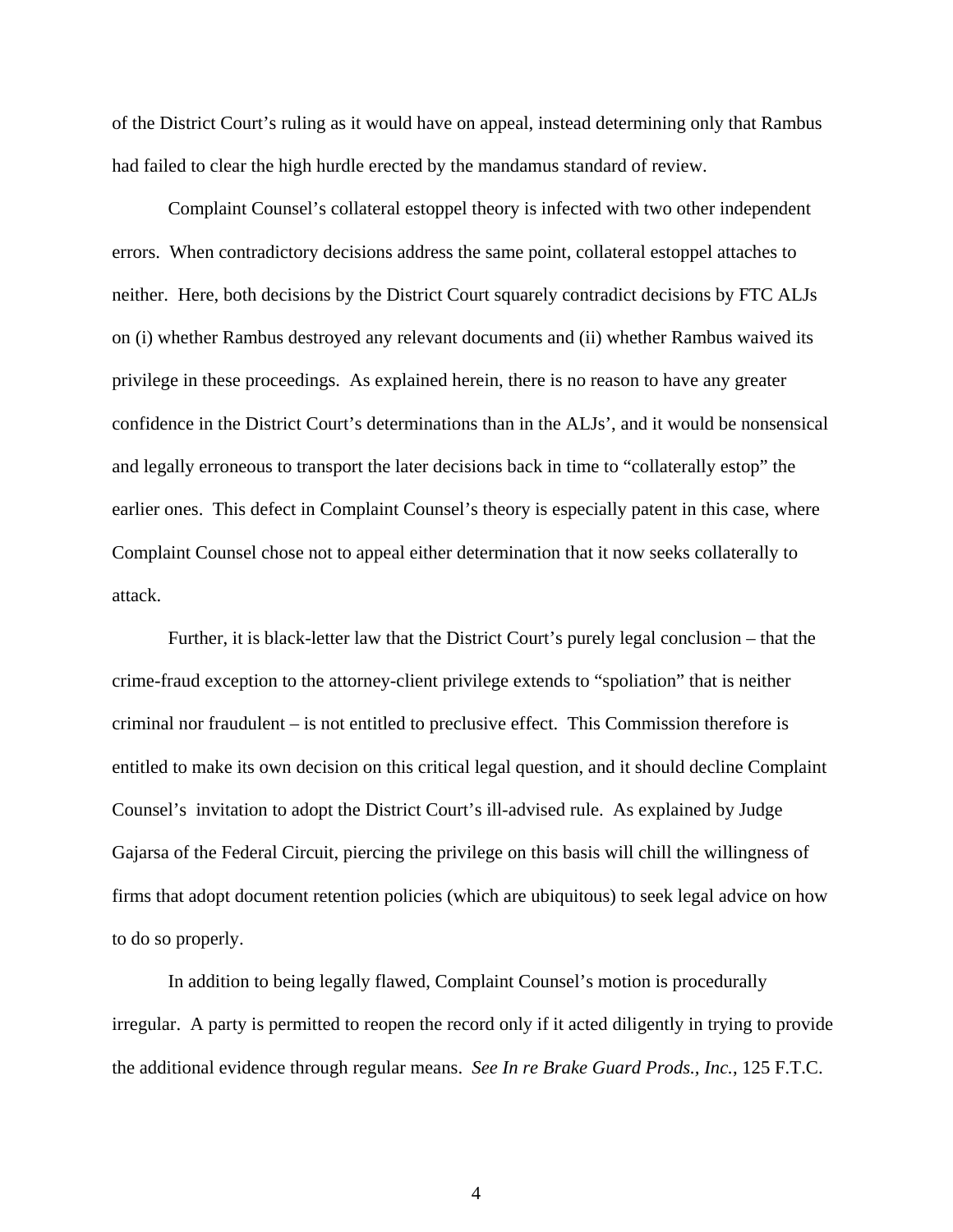of the District Court's ruling as it would have on appeal, instead determining only that Rambus had failed to clear the high hurdle erected by the mandamus standard of review.

Complaint Counsel's collateral estoppel theory is infected with two other independent errors. When contradictory decisions address the same point, collateral estoppel attaches to neither. Here, both decisions by the District Court squarely contradict decisions by FTC ALJs on (i) whether Rambus destroyed any relevant documents and (ii) whether Rambus waived its privilege in these proceedings. As explained herein, there is no reason to have any greater confidence in the District Court's determinations than in the ALJs', and it would be nonsensical and legally erroneous to transport the later decisions back in time to "collaterally estop" the earlier ones. This defect in Complaint Counsel's theory is especially patent in this case, where Complaint Counsel chose not to appeal either determination that it now seeks collaterally to attack.

Further, it is black-letter law that the District Court's purely legal conclusion – that the crime-fraud exception to the attorney-client privilege extends to "spoliation" that is neither criminal nor fraudulent – is not entitled to preclusive effect. This Commission therefore is entitled to make its own decision on this critical legal question, and it should decline Complaint Counsel's invitation to adopt the District Court's ill-advised rule. As explained by Judge Gajarsa of the Federal Circuit, piercing the privilege on this basis will chill the willingness of firms that adopt document retention policies (which are ubiquitous) to seek legal advice on how to do so properly.

In addition to being legally flawed, Complaint Counsel's motion is procedurally irregular. A party is permitted to reopen the record only if it acted diligently in trying to provide the additional evidence through regular means. *See In re Brake Guard Prods., Inc.*, 125 F.T.C.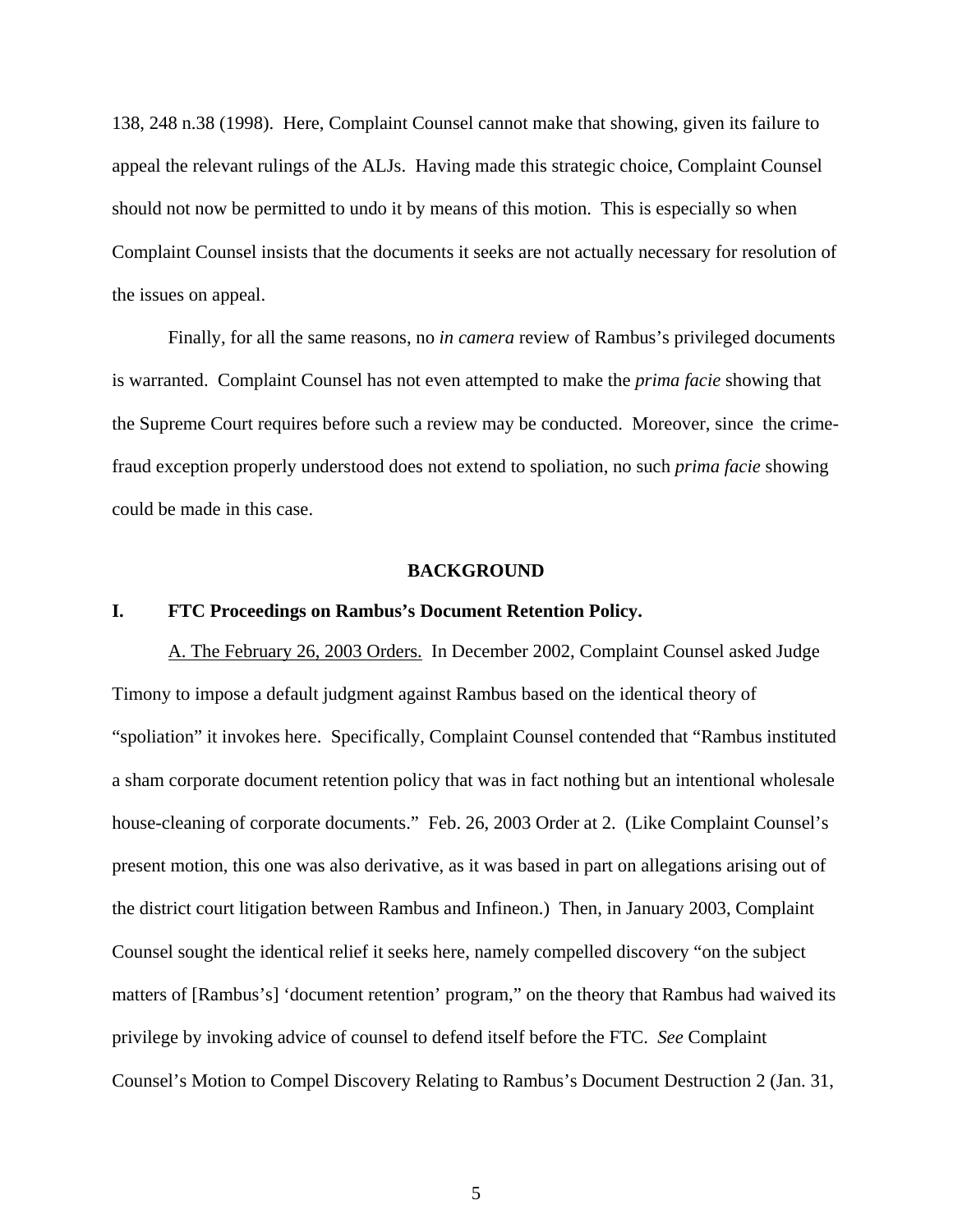138, 248 n.38 (1998). Here, Complaint Counsel cannot make that showing, given its failure to appeal the relevant rulings of the ALJs. Having made this strategic choice, Complaint Counsel should not now be permitted to undo it by means of this motion. This is especially so when Complaint Counsel insists that the documents it seeks are not actually necessary for resolution of the issues on appeal.

Finally, for all the same reasons, no *in camera* review of Rambus's privileged documents is warranted. Complaint Counsel has not even attempted to make the *prima facie* showing that the Supreme Court requires before such a review may be conducted. Moreover, since the crimefraud exception properly understood does not extend to spoliation, no such *prima facie* showing could be made in this case.

#### **BACKGROUND**

#### **I. FTC Proceedings on Rambus's Document Retention Policy.**

A. The February 26, 2003 Orders. In December 2002, Complaint Counsel asked Judge Timony to impose a default judgment against Rambus based on the identical theory of "spoliation" it invokes here. Specifically, Complaint Counsel contended that "Rambus instituted a sham corporate document retention policy that was in fact nothing but an intentional wholesale house-cleaning of corporate documents." Feb. 26, 2003 Order at 2. (Like Complaint Counsel's present motion, this one was also derivative, as it was based in part on allegations arising out of the district court litigation between Rambus and Infineon.) Then, in January 2003, Complaint Counsel sought the identical relief it seeks here, namely compelled discovery "on the subject matters of [Rambus's] 'document retention' program," on the theory that Rambus had waived its privilege by invoking advice of counsel to defend itself before the FTC. *See* Complaint Counsel's Motion to Compel Discovery Relating to Rambus's Document Destruction 2 (Jan. 31,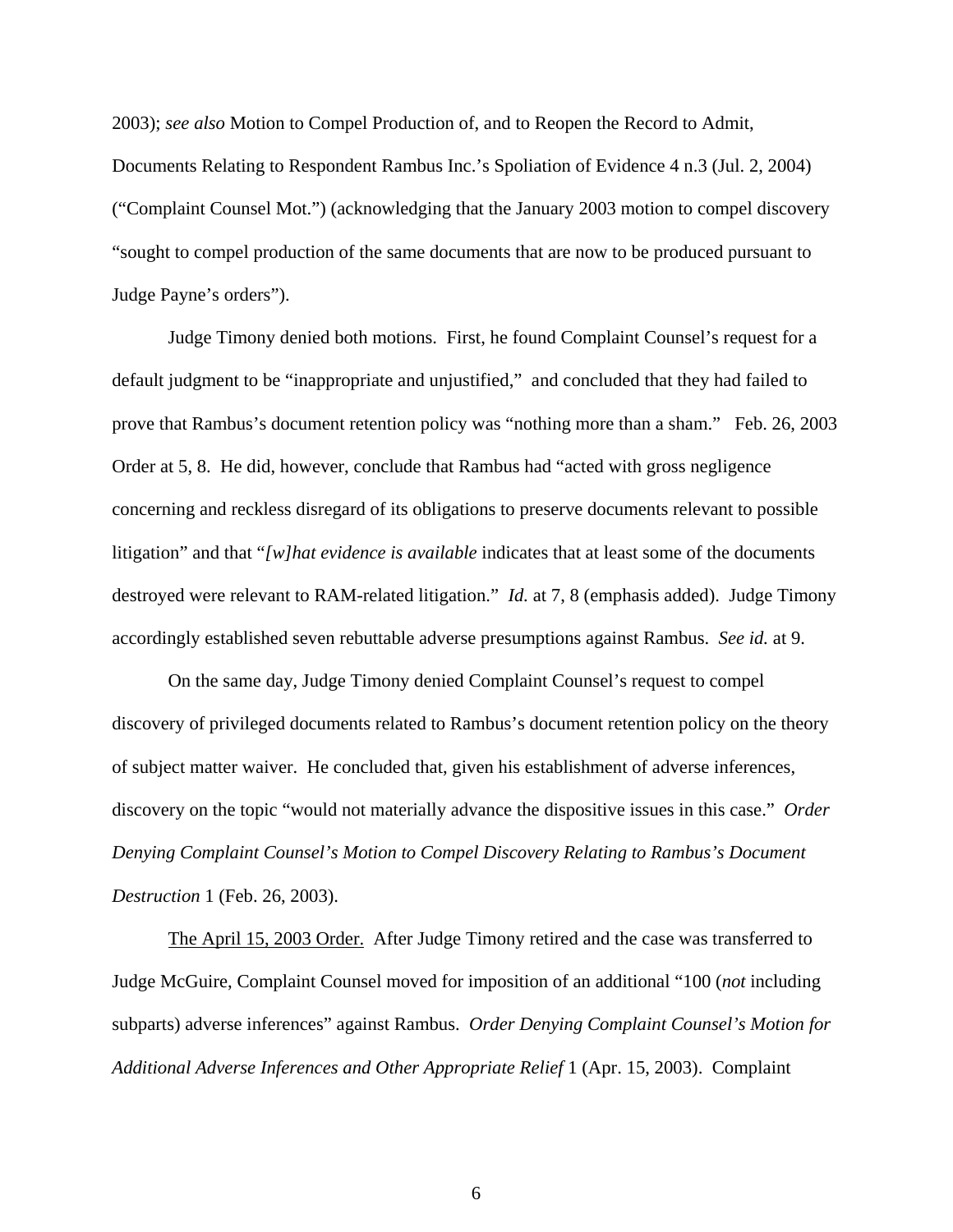2003); *see also* Motion to Compel Production of, and to Reopen the Record to Admit, Documents Relating to Respondent Rambus Inc.'s Spoliation of Evidence 4 n.3 (Jul. 2, 2004) ("Complaint Counsel Mot.") (acknowledging that the January 2003 motion to compel discovery "sought to compel production of the same documents that are now to be produced pursuant to Judge Payne's orders").

Judge Timony denied both motions. First, he found Complaint Counsel's request for a default judgment to be "inappropriate and unjustified," and concluded that they had failed to prove that Rambus's document retention policy was "nothing more than a sham." Feb. 26, 2003 Order at 5, 8. He did, however, conclude that Rambus had "acted with gross negligence concerning and reckless disregard of its obligations to preserve documents relevant to possible litigation" and that "*[w]hat evidence is available* indicates that at least some of the documents destroyed were relevant to RAM-related litigation." *Id.* at 7, 8 (emphasis added). Judge Timony accordingly established seven rebuttable adverse presumptions against Rambus. *See id.* at 9.

On the same day, Judge Timony denied Complaint Counsel's request to compel discovery of privileged documents related to Rambus's document retention policy on the theory of subject matter waiver. He concluded that, given his establishment of adverse inferences, discovery on the topic "would not materially advance the dispositive issues in this case." *Order Denying Complaint Counsel's Motion to Compel Discovery Relating to Rambus's Document Destruction* 1 (Feb. 26, 2003).

The April 15, 2003 Order. After Judge Timony retired and the case was transferred to Judge McGuire, Complaint Counsel moved for imposition of an additional "100 (*not* including subparts) adverse inferences" against Rambus. *Order Denying Complaint Counsel's Motion for Additional Adverse Inferences and Other Appropriate Relief* 1 (Apr. 15, 2003). Complaint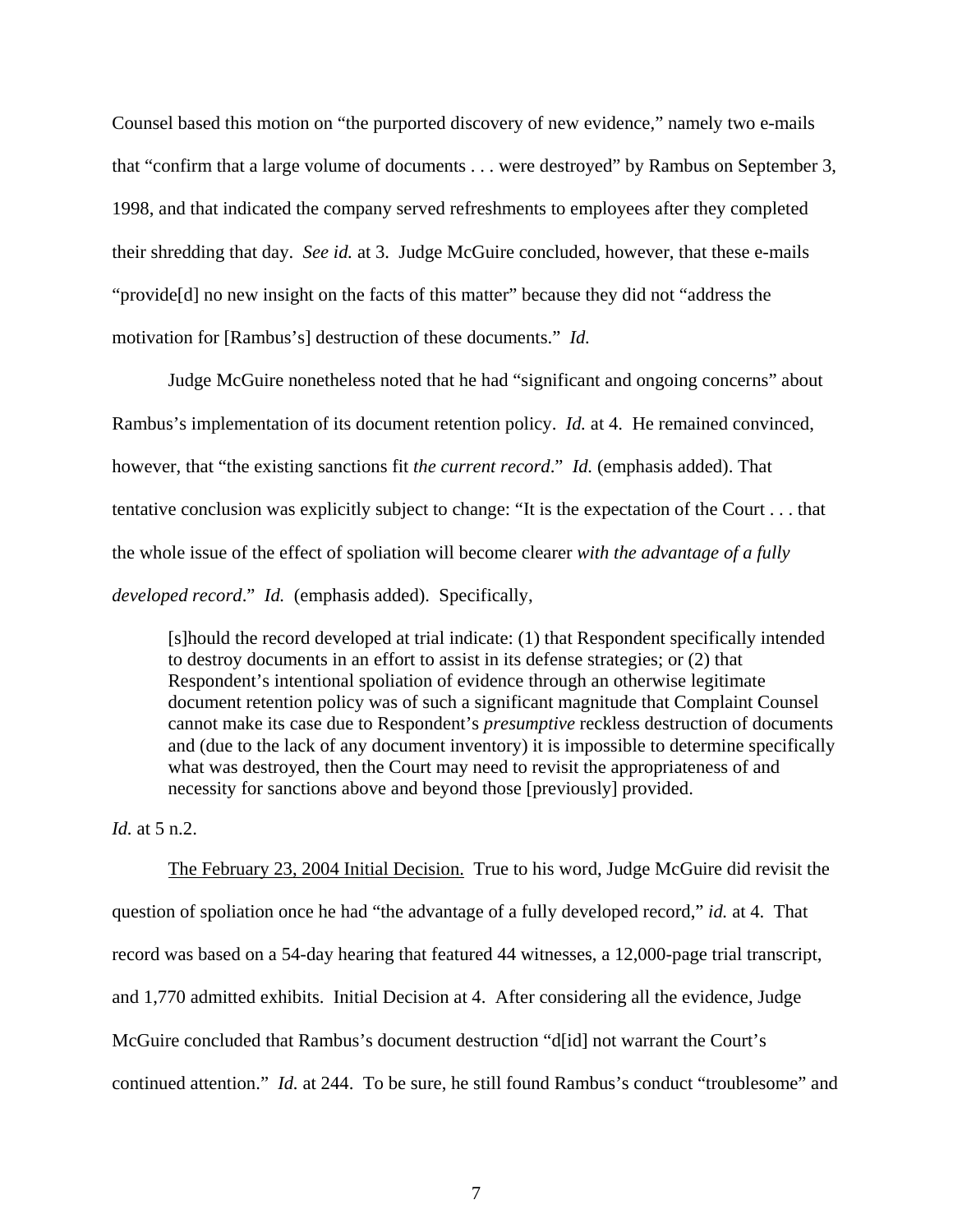Counsel based this motion on "the purported discovery of new evidence," namely two e-mails that "confirm that a large volume of documents . . . were destroyed" by Rambus on September 3, 1998, and that indicated the company served refreshments to employees after they completed their shredding that day. *See id.* at 3. Judge McGuire concluded, however, that these e-mails "provide[d] no new insight on the facts of this matter" because they did not "address the motivation for [Rambus's] destruction of these documents." *Id.*

Judge McGuire nonetheless noted that he had "significant and ongoing concerns" about Rambus's implementation of its document retention policy. *Id.* at 4. He remained convinced, however, that "the existing sanctions fit *the current record*." *Id.* (emphasis added). That tentative conclusion was explicitly subject to change: "It is the expectation of the Court . . . that the whole issue of the effect of spoliation will become clearer *with the advantage of a fully developed record*." *Id.* (emphasis added). Specifically,

[s]hould the record developed at trial indicate: (1) that Respondent specifically intended to destroy documents in an effort to assist in its defense strategies; or (2) that Respondent's intentional spoliation of evidence through an otherwise legitimate document retention policy was of such a significant magnitude that Complaint Counsel cannot make its case due to Respondent's *presumptive* reckless destruction of documents and (due to the lack of any document inventory) it is impossible to determine specifically what was destroyed, then the Court may need to revisit the appropriateness of and necessity for sanctions above and beyond those [previously] provided.

*Id.* at 5 n.2.

The February 23, 2004 Initial Decision. True to his word, Judge McGuire did revisit the question of spoliation once he had "the advantage of a fully developed record," *id.* at 4. That record was based on a 54-day hearing that featured 44 witnesses, a 12,000-page trial transcript, and 1,770 admitted exhibits. Initial Decision at 4. After considering all the evidence, Judge McGuire concluded that Rambus's document destruction "d[id] not warrant the Court's continued attention." *Id.* at 244. To be sure, he still found Rambus's conduct "troublesome" and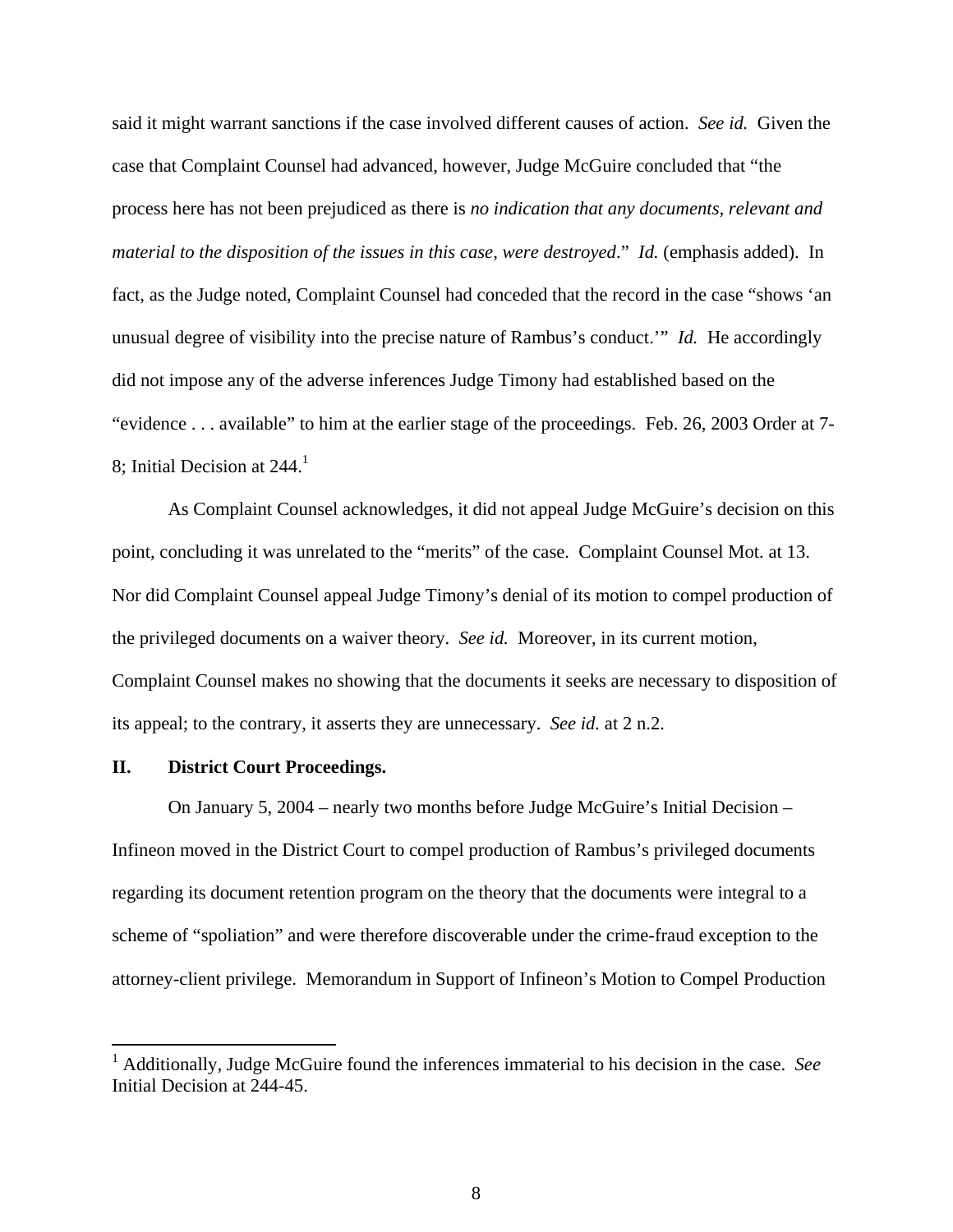said it might warrant sanctions if the case involved different causes of action. *See id.* Given the case that Complaint Counsel had advanced, however, Judge McGuire concluded that "the process here has not been prejudiced as there is *no indication that any documents, relevant and material to the disposition of the issues in this case, were destroyed*." *Id.* (emphasis added). In fact, as the Judge noted, Complaint Counsel had conceded that the record in the case "shows 'an unusual degree of visibility into the precise nature of Rambus's conduct.'" *Id.* He accordingly did not impose any of the adverse inferences Judge Timony had established based on the "evidence . . . available" to him at the earlier stage of the proceedings. Feb. 26, 2003 Order at 7- 8; Initial Decision at  $244.<sup>1</sup>$ 

As Complaint Counsel acknowledges, it did not appeal Judge McGuire's decision on this point, concluding it was unrelated to the "merits" of the case. Complaint Counsel Mot. at 13. Nor did Complaint Counsel appeal Judge Timony's denial of its motion to compel production of the privileged documents on a waiver theory. *See id.* Moreover, in its current motion, Complaint Counsel makes no showing that the documents it seeks are necessary to disposition of its appeal; to the contrary, it asserts they are unnecessary. *See id.* at 2 n.2.

## **II. District Court Proceedings.**

On January 5, 2004 – nearly two months before Judge McGuire's Initial Decision – Infineon moved in the District Court to compel production of Rambus's privileged documents regarding its document retention program on the theory that the documents were integral to a scheme of "spoliation" and were therefore discoverable under the crime-fraud exception to the attorney-client privilege. Memorandum in Support of Infineon's Motion to Compel Production

 1 Additionally, Judge McGuire found the inferences immaterial to his decision in the case. *See*  Initial Decision at 244-45.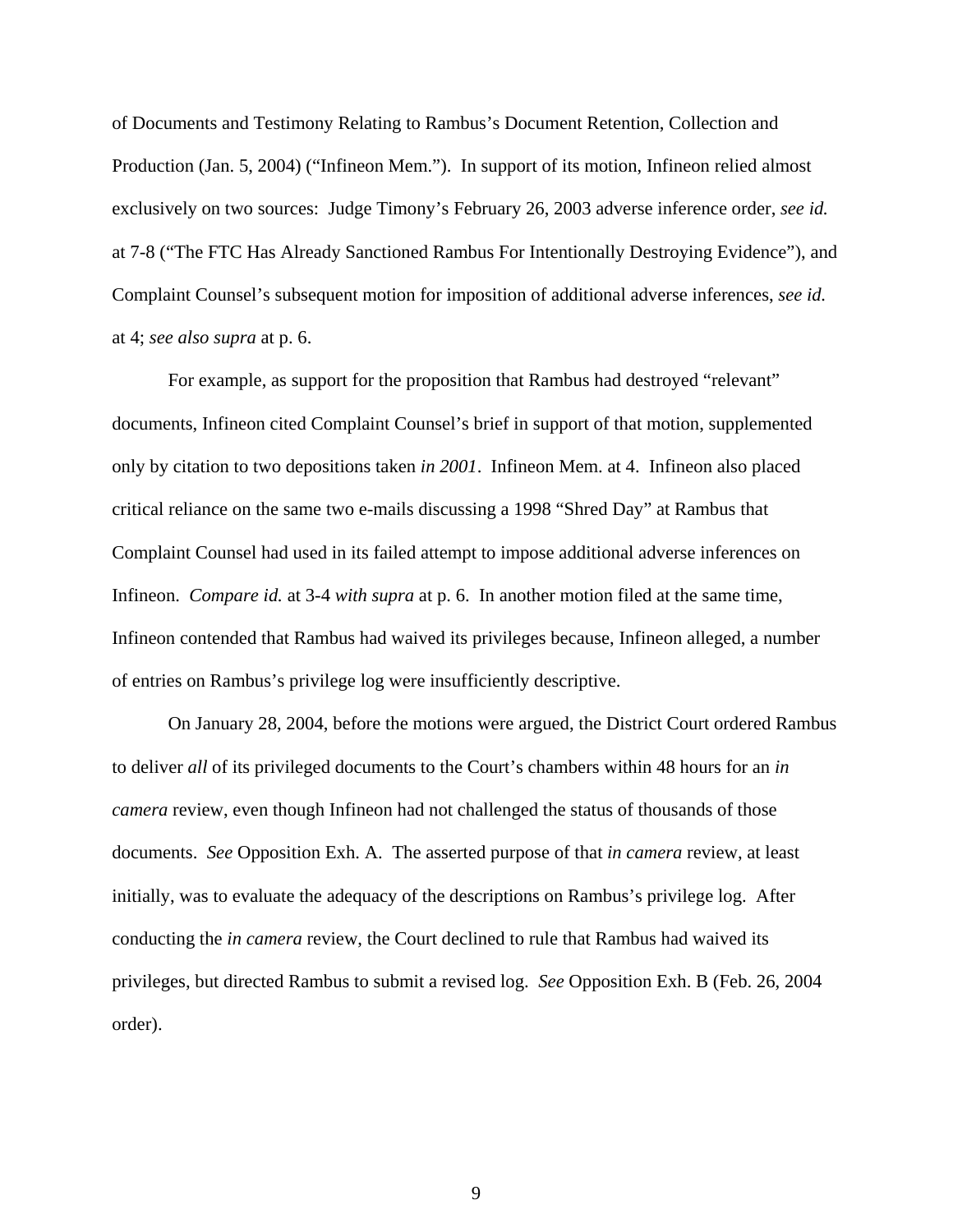of Documents and Testimony Relating to Rambus's Document Retention, Collection and Production (Jan. 5, 2004) ("Infineon Mem."). In support of its motion, Infineon relied almost exclusively on two sources: Judge Timony's February 26, 2003 adverse inference order, *see id.* at 7-8 ("The FTC Has Already Sanctioned Rambus For Intentionally Destroying Evidence"), and Complaint Counsel's subsequent motion for imposition of additional adverse inferences, *see id.* at 4; *see also supra* at p. 6.

For example, as support for the proposition that Rambus had destroyed "relevant" documents, Infineon cited Complaint Counsel's brief in support of that motion, supplemented only by citation to two depositions taken *in 2001*. Infineon Mem. at 4. Infineon also placed critical reliance on the same two e-mails discussing a 1998 "Shred Day" at Rambus that Complaint Counsel had used in its failed attempt to impose additional adverse inferences on Infineon. *Compare id.* at 3-4 *with supra* at p. 6. In another motion filed at the same time, Infineon contended that Rambus had waived its privileges because, Infineon alleged, a number of entries on Rambus's privilege log were insufficiently descriptive.

On January 28, 2004, before the motions were argued, the District Court ordered Rambus to deliver *all* of its privileged documents to the Court's chambers within 48 hours for an *in camera* review, even though Infineon had not challenged the status of thousands of those documents. *See* Opposition Exh. A. The asserted purpose of that *in camera* review, at least initially, was to evaluate the adequacy of the descriptions on Rambus's privilege log. After conducting the *in camera* review, the Court declined to rule that Rambus had waived its privileges, but directed Rambus to submit a revised log. *See* Opposition Exh. B (Feb. 26, 2004 order).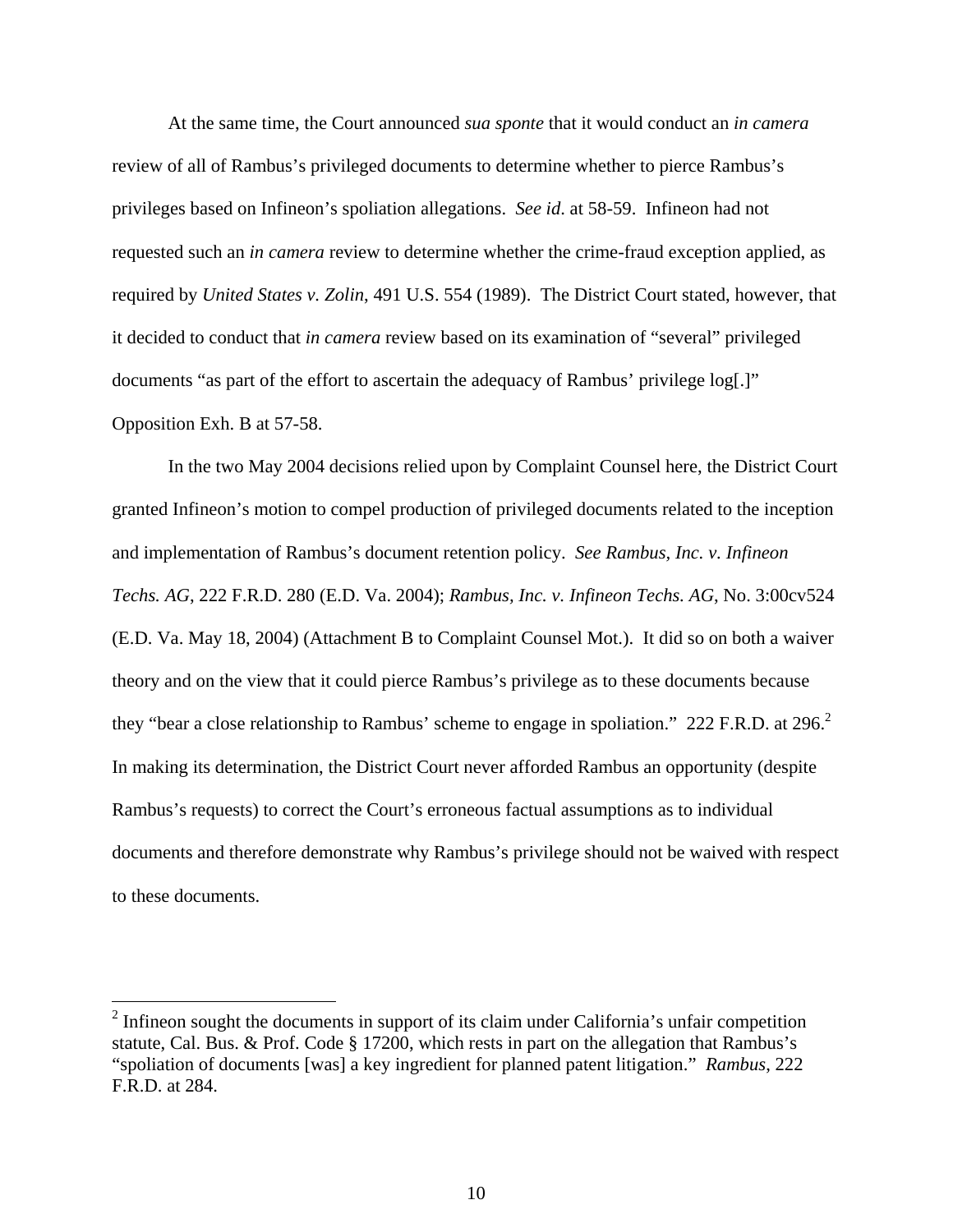At the same time, the Court announced *sua sponte* that it would conduct an *in camera* review of all of Rambus's privileged documents to determine whether to pierce Rambus's privileges based on Infineon's spoliation allegations. *See id*. at 58-59. Infineon had not requested such an *in camera* review to determine whether the crime-fraud exception applied, as required by *United States v. Zolin*, 491 U.S. 554 (1989). The District Court stated, however, that it decided to conduct that *in camera* review based on its examination of "several" privileged documents "as part of the effort to ascertain the adequacy of Rambus' privilege log[.]" Opposition Exh. B at 57-58.

In the two May 2004 decisions relied upon by Complaint Counsel here, the District Court granted Infineon's motion to compel production of privileged documents related to the inception and implementation of Rambus's document retention policy. *See Rambus, Inc. v. Infineon Techs. AG*, 222 F.R.D. 280 (E.D. Va. 2004); *Rambus, Inc. v. Infineon Techs. AG*, No. 3:00cv524 (E.D. Va. May 18, 2004) (Attachment B to Complaint Counsel Mot.). It did so on both a waiver theory and on the view that it could pierce Rambus's privilege as to these documents because they "bear a close relationship to Rambus' scheme to engage in spoliation." 222 F.R.D. at 296.<sup>2</sup> In making its determination, the District Court never afforded Rambus an opportunity (despite Rambus's requests) to correct the Court's erroneous factual assumptions as to individual documents and therefore demonstrate why Rambus's privilege should not be waived with respect to these documents.

<u>.</u>

 $2$  Infineon sought the documents in support of its claim under California's unfair competition statute, Cal. Bus. & Prof. Code § 17200, which rests in part on the allegation that Rambus's "spoliation of documents [was] a key ingredient for planned patent litigation." *Rambus*, 222 F.R.D. at 284.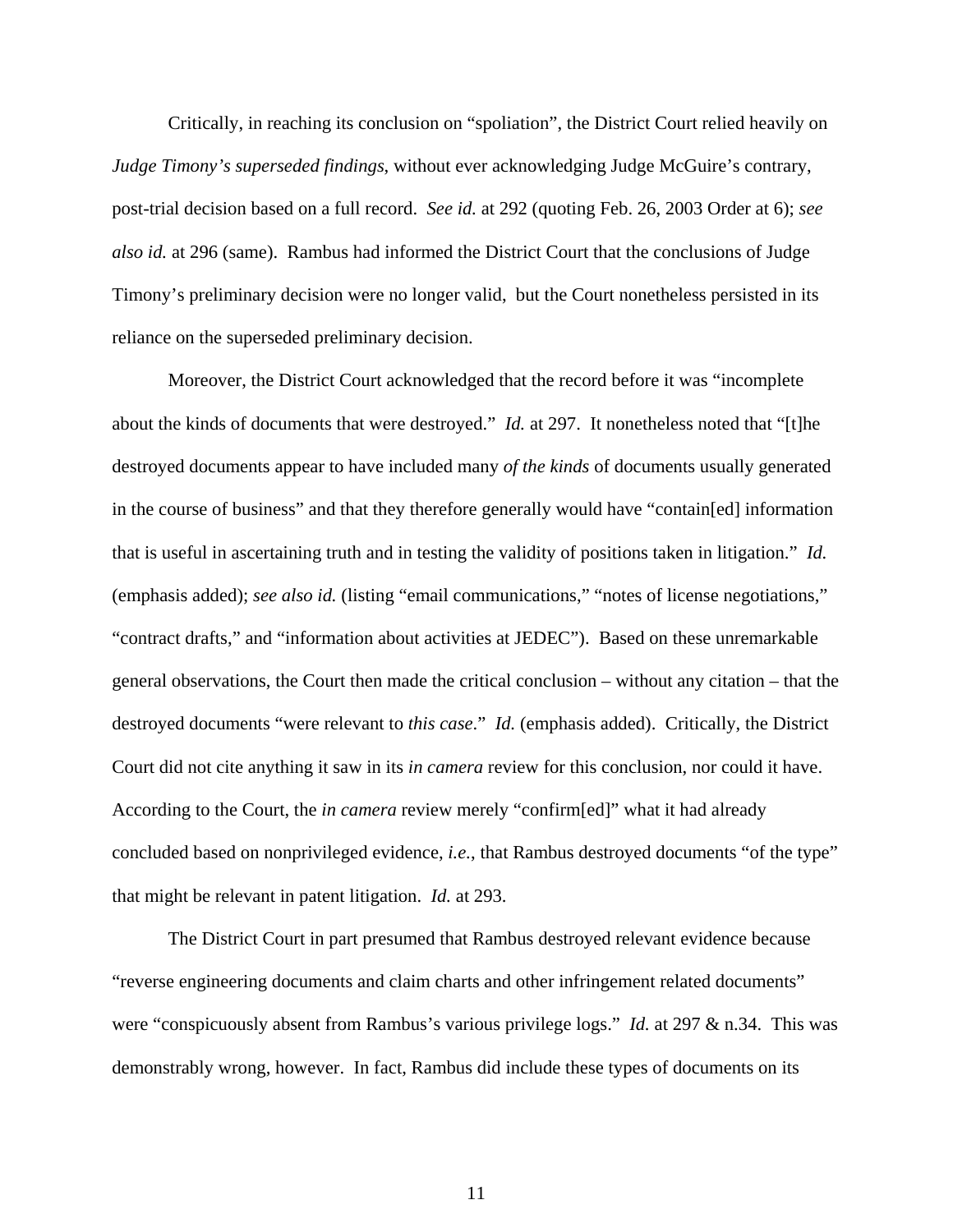Critically, in reaching its conclusion on "spoliation", the District Court relied heavily on *Judge Timony's superseded findings*, without ever acknowledging Judge McGuire's contrary, post-trial decision based on a full record. *See id.* at 292 (quoting Feb. 26, 2003 Order at 6); *see also id.* at 296 (same). Rambus had informed the District Court that the conclusions of Judge Timony's preliminary decision were no longer valid, but the Court nonetheless persisted in its reliance on the superseded preliminary decision.

Moreover, the District Court acknowledged that the record before it was "incomplete about the kinds of documents that were destroyed." *Id.* at 297. It nonetheless noted that "[t]he destroyed documents appear to have included many *of the kinds* of documents usually generated in the course of business" and that they therefore generally would have "contain[ed] information that is useful in ascertaining truth and in testing the validity of positions taken in litigation." *Id.* (emphasis added); *see also id.* (listing "email communications," "notes of license negotiations," "contract drafts," and "information about activities at JEDEC"). Based on these unremarkable general observations, the Court then made the critical conclusion – without any citation – that the destroyed documents "were relevant to *this case*." *Id.* (emphasis added). Critically, the District Court did not cite anything it saw in its *in camera* review for this conclusion, nor could it have. According to the Court, the *in camera* review merely "confirm[ed]" what it had already concluded based on nonprivileged evidence, *i.e.*, that Rambus destroyed documents "of the type" that might be relevant in patent litigation. *Id.* at 293.

The District Court in part presumed that Rambus destroyed relevant evidence because "reverse engineering documents and claim charts and other infringement related documents" were "conspicuously absent from Rambus's various privilege logs." *Id.* at 297 & n.34. This was demonstrably wrong, however. In fact, Rambus did include these types of documents on its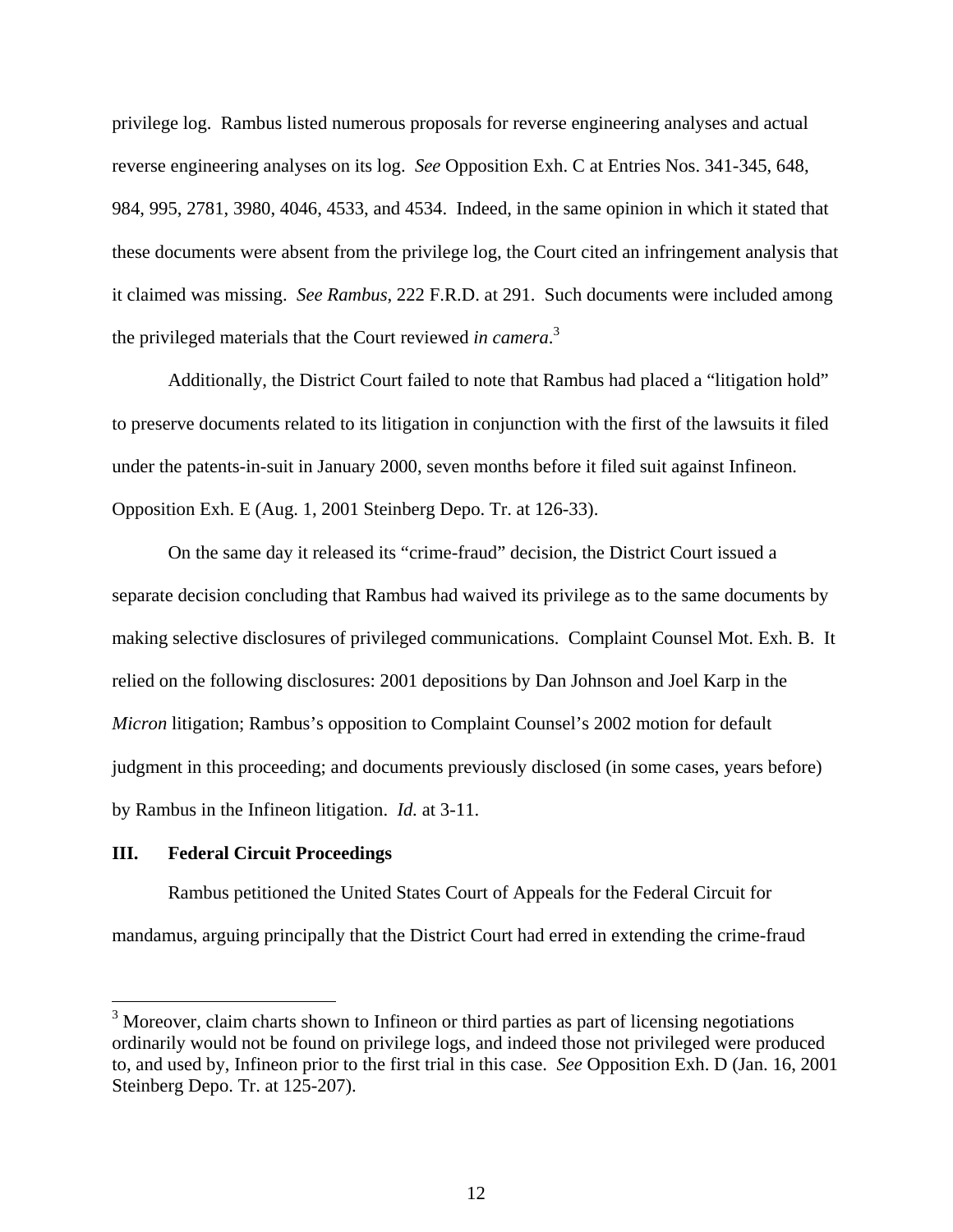privilege log. Rambus listed numerous proposals for reverse engineering analyses and actual reverse engineering analyses on its log. *See* Opposition Exh. C at Entries Nos. 341-345, 648, 984, 995, 2781, 3980, 4046, 4533, and 4534. Indeed, in the same opinion in which it stated that these documents were absent from the privilege log, the Court cited an infringement analysis that it claimed was missing. *See Rambus*, 222 F.R.D. at 291. Such documents were included among the privileged materials that the Court reviewed *in camera*. 3

Additionally, the District Court failed to note that Rambus had placed a "litigation hold" to preserve documents related to its litigation in conjunction with the first of the lawsuits it filed under the patents-in-suit in January 2000, seven months before it filed suit against Infineon. Opposition Exh. E (Aug. 1, 2001 Steinberg Depo. Tr. at 126-33).

On the same day it released its "crime-fraud" decision, the District Court issued a separate decision concluding that Rambus had waived its privilege as to the same documents by making selective disclosures of privileged communications. Complaint Counsel Mot. Exh. B. It relied on the following disclosures: 2001 depositions by Dan Johnson and Joel Karp in the *Micron* litigation; Rambus's opposition to Complaint Counsel's 2002 motion for default judgment in this proceeding; and documents previously disclosed (in some cases, years before) by Rambus in the Infineon litigation. *Id.* at 3-11.

### **III. Federal Circuit Proceedings**

 $\overline{a}$ 

Rambus petitioned the United States Court of Appeals for the Federal Circuit for mandamus, arguing principally that the District Court had erred in extending the crime-fraud

 $3$  Moreover, claim charts shown to Infineon or third parties as part of licensing negotiations ordinarily would not be found on privilege logs, and indeed those not privileged were produced to, and used by, Infineon prior to the first trial in this case. *See* Opposition Exh. D (Jan. 16, 2001 Steinberg Depo. Tr. at 125-207).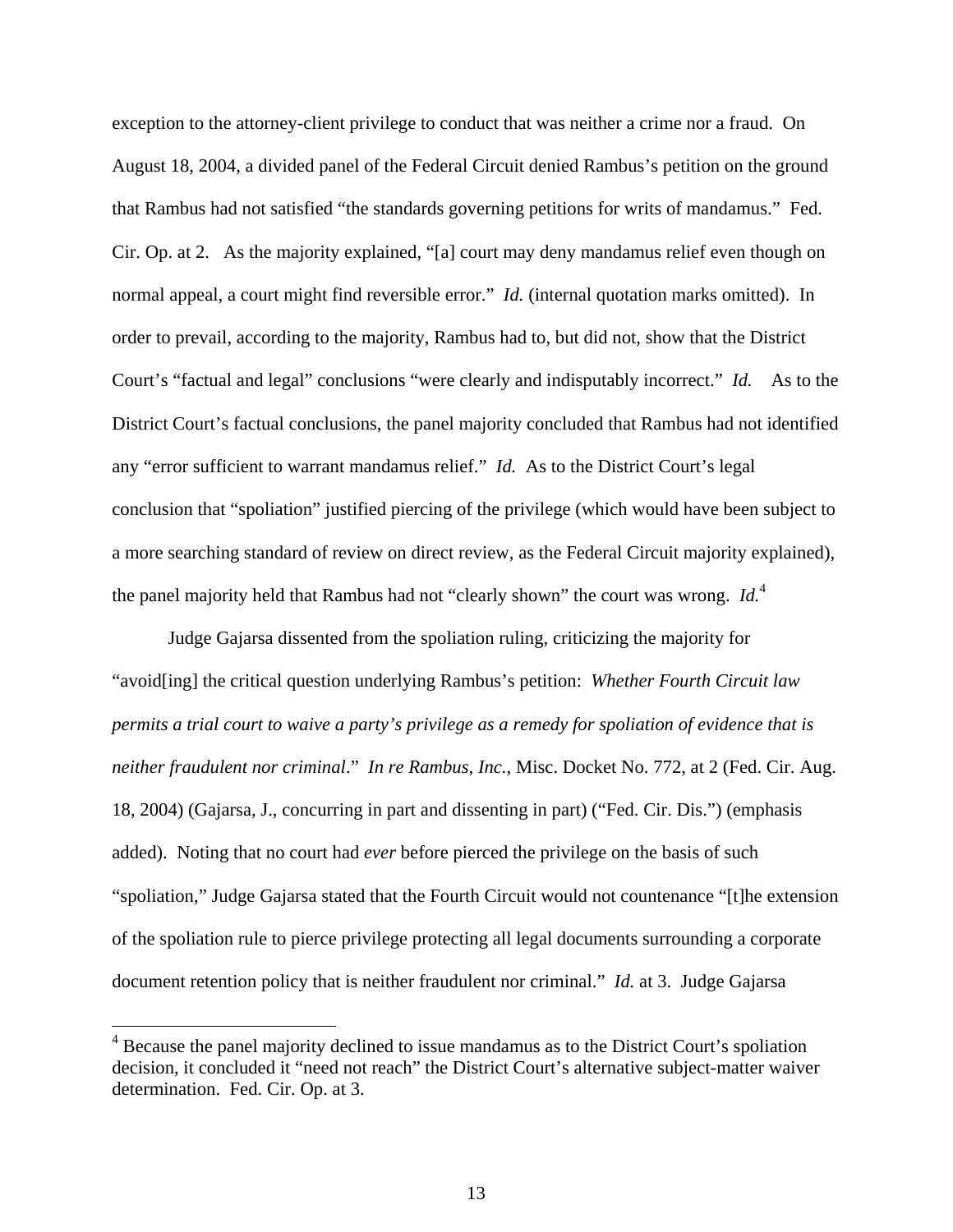exception to the attorney-client privilege to conduct that was neither a crime nor a fraud. On August 18, 2004, a divided panel of the Federal Circuit denied Rambus's petition on the ground that Rambus had not satisfied "the standards governing petitions for writs of mandamus." Fed. Cir. Op. at 2. As the majority explained, "[a] court may deny mandamus relief even though on normal appeal, a court might find reversible error." *Id.* (internal quotation marks omitted). In order to prevail, according to the majority, Rambus had to, but did not, show that the District Court's "factual and legal" conclusions "were clearly and indisputably incorrect." *Id.* As to the District Court's factual conclusions, the panel majority concluded that Rambus had not identified any "error sufficient to warrant mandamus relief." *Id.* As to the District Court's legal conclusion that "spoliation" justified piercing of the privilege (which would have been subject to a more searching standard of review on direct review, as the Federal Circuit majority explained), the panel majority held that Rambus had not "clearly shown" the court was wrong. *Id.*<sup>4</sup>

Judge Gajarsa dissented from the spoliation ruling, criticizing the majority for "avoid[ing] the critical question underlying Rambus's petition: *Whether Fourth Circuit law permits a trial court to waive a party's privilege as a remedy for spoliation of evidence that is neither fraudulent nor criminal*." *In re Rambus, Inc.*, Misc. Docket No. 772, at 2 (Fed. Cir. Aug. 18, 2004) (Gajarsa, J., concurring in part and dissenting in part) ("Fed. Cir. Dis.") (emphasis added). Noting that no court had *ever* before pierced the privilege on the basis of such "spoliation," Judge Gajarsa stated that the Fourth Circuit would not countenance "[t]he extension of the spoliation rule to pierce privilege protecting all legal documents surrounding a corporate document retention policy that is neither fraudulent nor criminal." *Id.* at 3. Judge Gajarsa

 $\overline{a}$ 

 $4$  Because the panel majority declined to issue mandamus as to the District Court's spoliation decision, it concluded it "need not reach" the District Court's alternative subject-matter waiver determination. Fed. Cir. Op. at 3.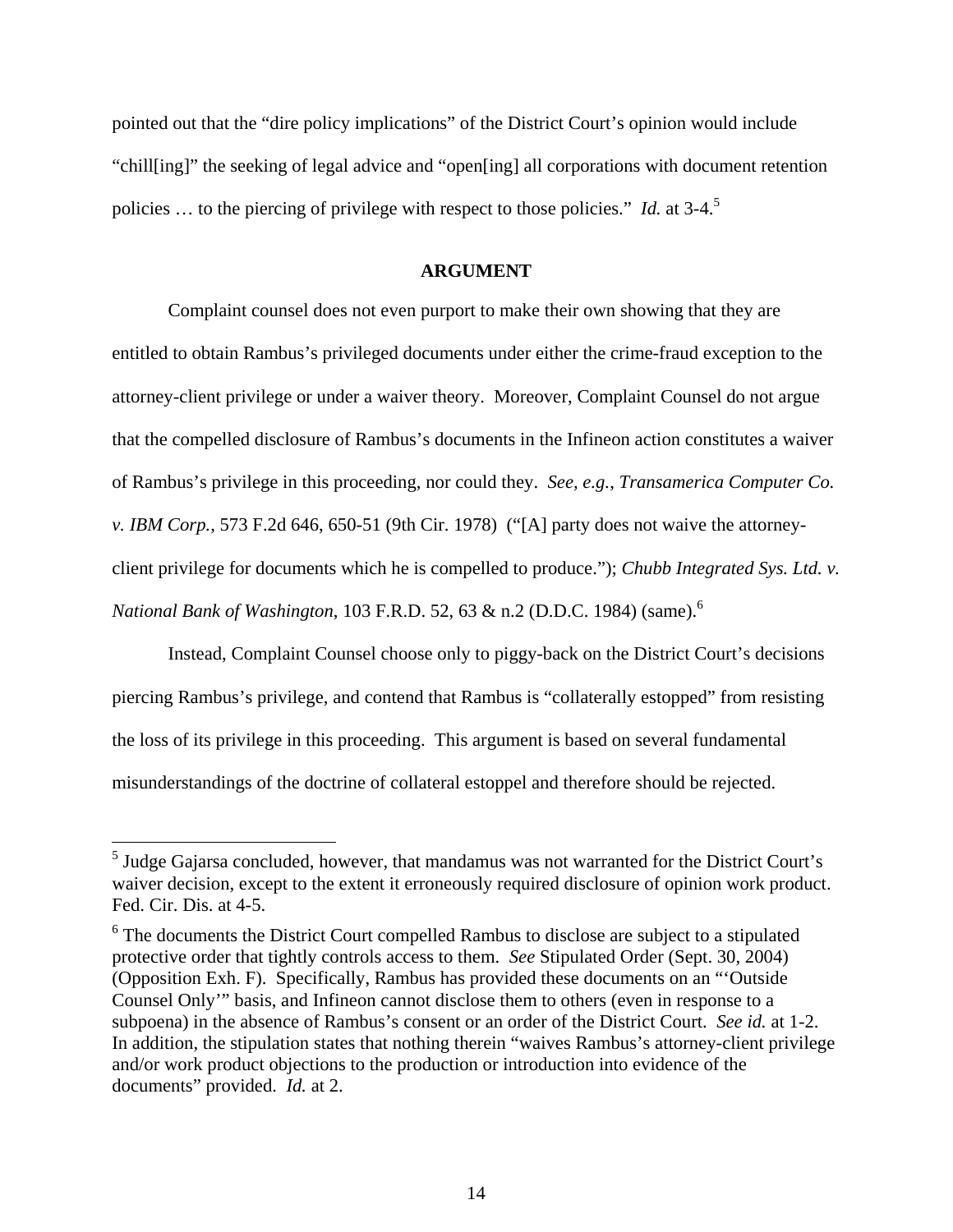pointed out that the "dire policy implications" of the District Court's opinion would include "chill[ing]" the seeking of legal advice and "open[ing] all corporations with document retention policies … to the piercing of privilege with respect to those policies." *Id.* at 3-4.5

#### **ARGUMENT**

Complaint counsel does not even purport to make their own showing that they are entitled to obtain Rambus's privileged documents under either the crime-fraud exception to the attorney-client privilege or under a waiver theory. Moreover, Complaint Counsel do not argue that the compelled disclosure of Rambus's documents in the Infineon action constitutes a waiver of Rambus's privilege in this proceeding, nor could they. *See, e.g.*, *Transamerica Computer Co. v. IBM Corp.*, 573 F.2d 646, 650-51 (9th Cir. 1978) ("[A] party does not waive the attorneyclient privilege for documents which he is compelled to produce."); *Chubb Integrated Sys. Ltd. v. National Bank of Washington*, 103 F.R.D. 52, 63 & n.2 (D.D.C. 1984) (same).<sup>6</sup>

Instead, Complaint Counsel choose only to piggy-back on the District Court's decisions piercing Rambus's privilege, and contend that Rambus is "collaterally estopped" from resisting the loss of its privilege in this proceeding. This argument is based on several fundamental misunderstandings of the doctrine of collateral estoppel and therefore should be rejected.

 5 Judge Gajarsa concluded, however, that mandamus was not warranted for the District Court's waiver decision, except to the extent it erroneously required disclosure of opinion work product. Fed. Cir. Dis. at 4-5.

 $6$  The documents the District Court compelled Rambus to disclose are subject to a stipulated protective order that tightly controls access to them. *See* Stipulated Order (Sept. 30, 2004) (Opposition Exh. F). Specifically, Rambus has provided these documents on an "'Outside Counsel Only'" basis, and Infineon cannot disclose them to others (even in response to a subpoena) in the absence of Rambus's consent or an order of the District Court. *See id.* at 1-2. In addition, the stipulation states that nothing therein "waives Rambus's attorney-client privilege and/or work product objections to the production or introduction into evidence of the documents" provided. *Id.* at 2.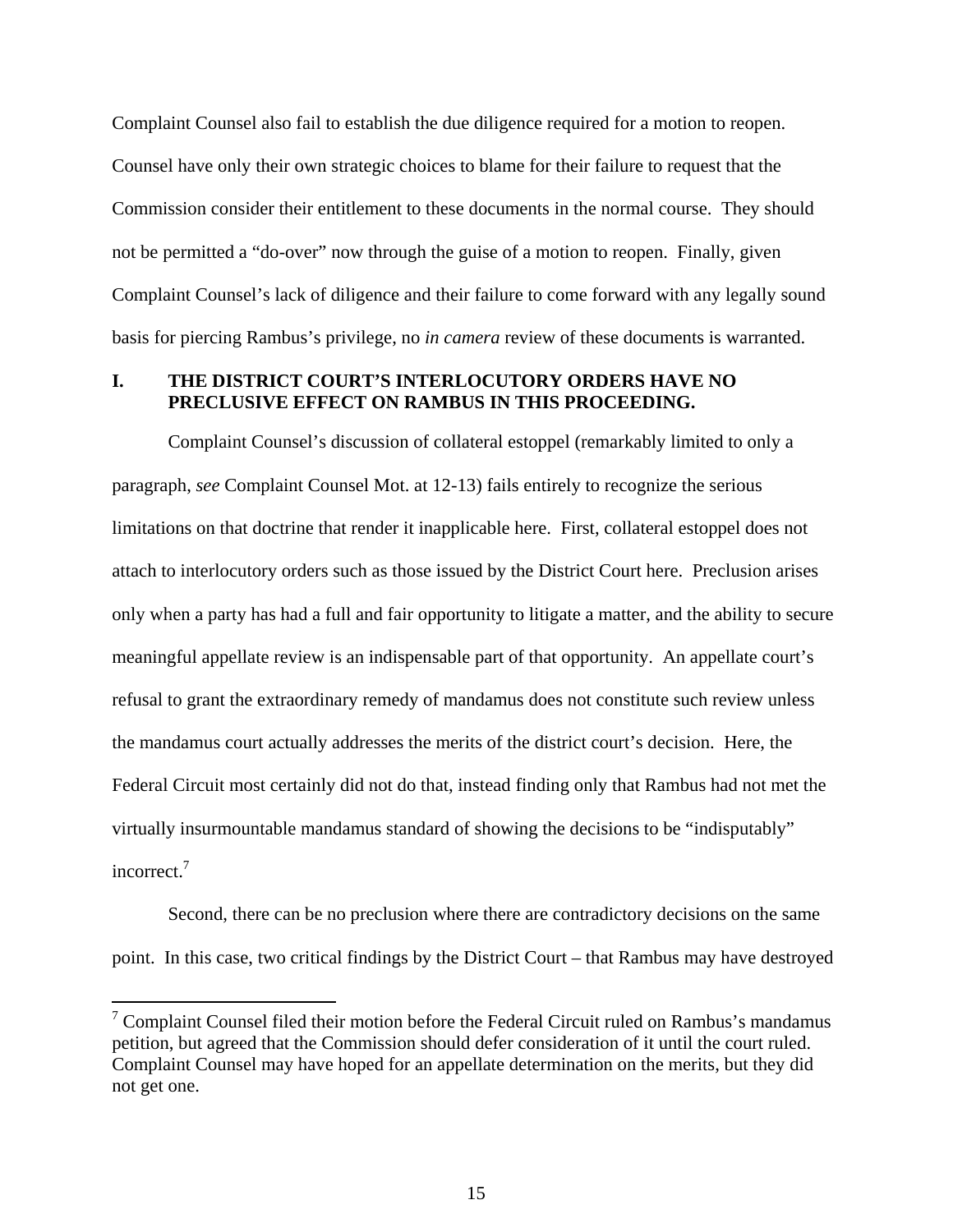Complaint Counsel also fail to establish the due diligence required for a motion to reopen. Counsel have only their own strategic choices to blame for their failure to request that the Commission consider their entitlement to these documents in the normal course. They should not be permitted a "do-over" now through the guise of a motion to reopen. Finally, given Complaint Counsel's lack of diligence and their failure to come forward with any legally sound basis for piercing Rambus's privilege, no *in camera* review of these documents is warranted.

### **I. THE DISTRICT COURT'S INTERLOCUTORY ORDERS HAVE NO PRECLUSIVE EFFECT ON RAMBUS IN THIS PROCEEDING.**

Complaint Counsel's discussion of collateral estoppel (remarkably limited to only a paragraph, *see* Complaint Counsel Mot. at 12-13) fails entirely to recognize the serious limitations on that doctrine that render it inapplicable here. First, collateral estoppel does not attach to interlocutory orders such as those issued by the District Court here. Preclusion arises only when a party has had a full and fair opportunity to litigate a matter, and the ability to secure meaningful appellate review is an indispensable part of that opportunity. An appellate court's refusal to grant the extraordinary remedy of mandamus does not constitute such review unless the mandamus court actually addresses the merits of the district court's decision. Here, the Federal Circuit most certainly did not do that, instead finding only that Rambus had not met the virtually insurmountable mandamus standard of showing the decisions to be "indisputably" incorrect.<sup>7</sup>

Second, there can be no preclusion where there are contradictory decisions on the same point. In this case, two critical findings by the District Court – that Rambus may have destroyed

 $\overline{a}$ 

<sup>&</sup>lt;sup>7</sup> Complaint Counsel filed their motion before the Federal Circuit ruled on Rambus's mandamus petition, but agreed that the Commission should defer consideration of it until the court ruled. Complaint Counsel may have hoped for an appellate determination on the merits, but they did not get one.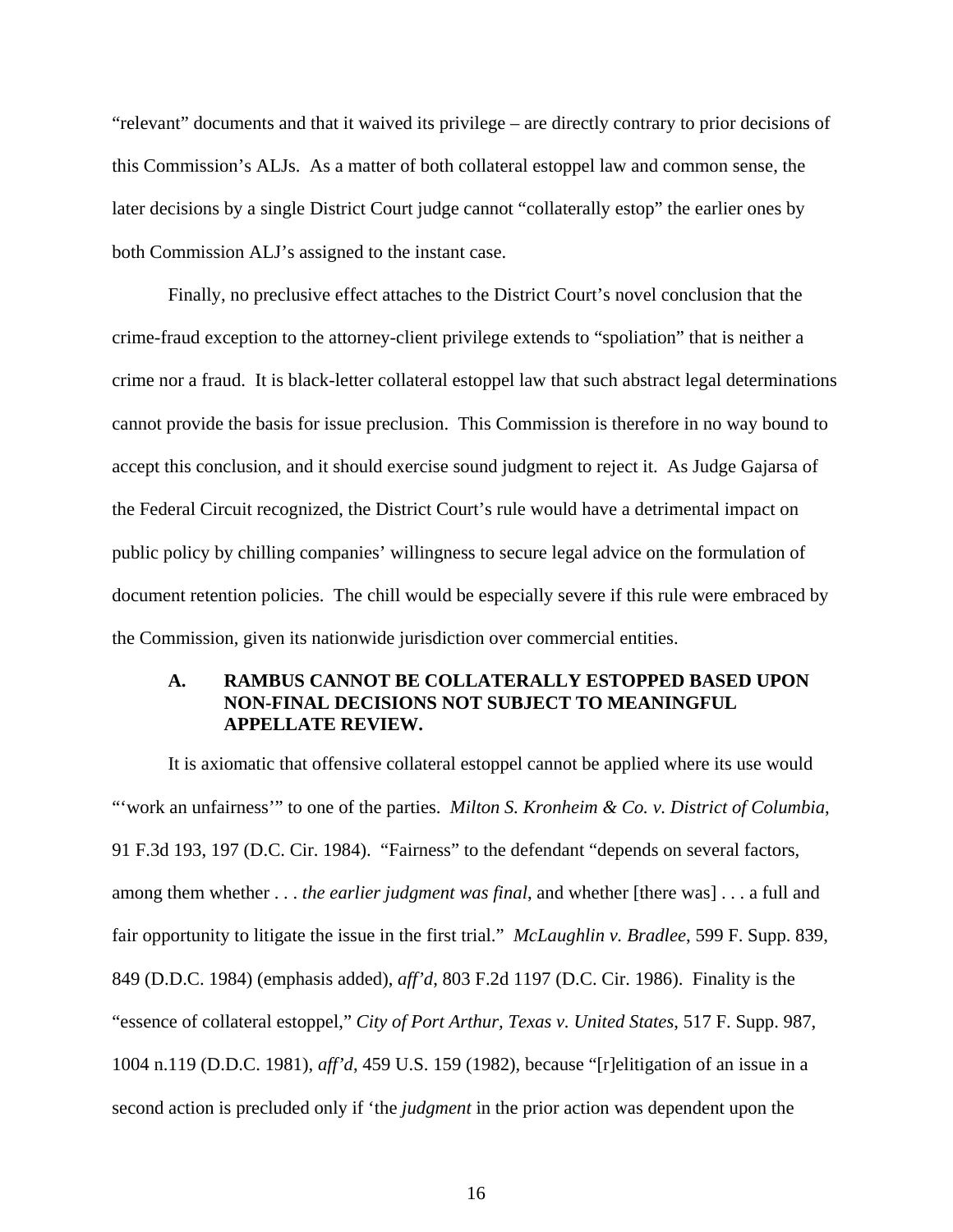"relevant" documents and that it waived its privilege – are directly contrary to prior decisions of this Commission's ALJs. As a matter of both collateral estoppel law and common sense, the later decisions by a single District Court judge cannot "collaterally estop" the earlier ones by both Commission ALJ's assigned to the instant case.

Finally, no preclusive effect attaches to the District Court's novel conclusion that the crime-fraud exception to the attorney-client privilege extends to "spoliation" that is neither a crime nor a fraud. It is black-letter collateral estoppel law that such abstract legal determinations cannot provide the basis for issue preclusion. This Commission is therefore in no way bound to accept this conclusion, and it should exercise sound judgment to reject it. As Judge Gajarsa of the Federal Circuit recognized, the District Court's rule would have a detrimental impact on public policy by chilling companies' willingness to secure legal advice on the formulation of document retention policies. The chill would be especially severe if this rule were embraced by the Commission, given its nationwide jurisdiction over commercial entities.

# **A. RAMBUS CANNOT BE COLLATERALLY ESTOPPED BASED UPON NON-FINAL DECISIONS NOT SUBJECT TO MEANINGFUL APPELLATE REVIEW.**

It is axiomatic that offensive collateral estoppel cannot be applied where its use would "'work an unfairness'" to one of the parties. *Milton S. Kronheim & Co. v. District of Columbia*, 91 F.3d 193, 197 (D.C. Cir. 1984). "Fairness" to the defendant "depends on several factors, among them whether . . . *the earlier judgment was final*, and whether [there was] . . . a full and fair opportunity to litigate the issue in the first trial." *McLaughlin v. Bradlee*, 599 F. Supp. 839, 849 (D.D.C. 1984) (emphasis added), *aff'd*, 803 F.2d 1197 (D.C. Cir. 1986). Finality is the "essence of collateral estoppel," *City of Port Arthur, Texas v. United States*, 517 F. Supp. 987, 1004 n.119 (D.D.C. 1981), *aff'd*, 459 U.S. 159 (1982), because "[r]elitigation of an issue in a second action is precluded only if 'the *judgment* in the prior action was dependent upon the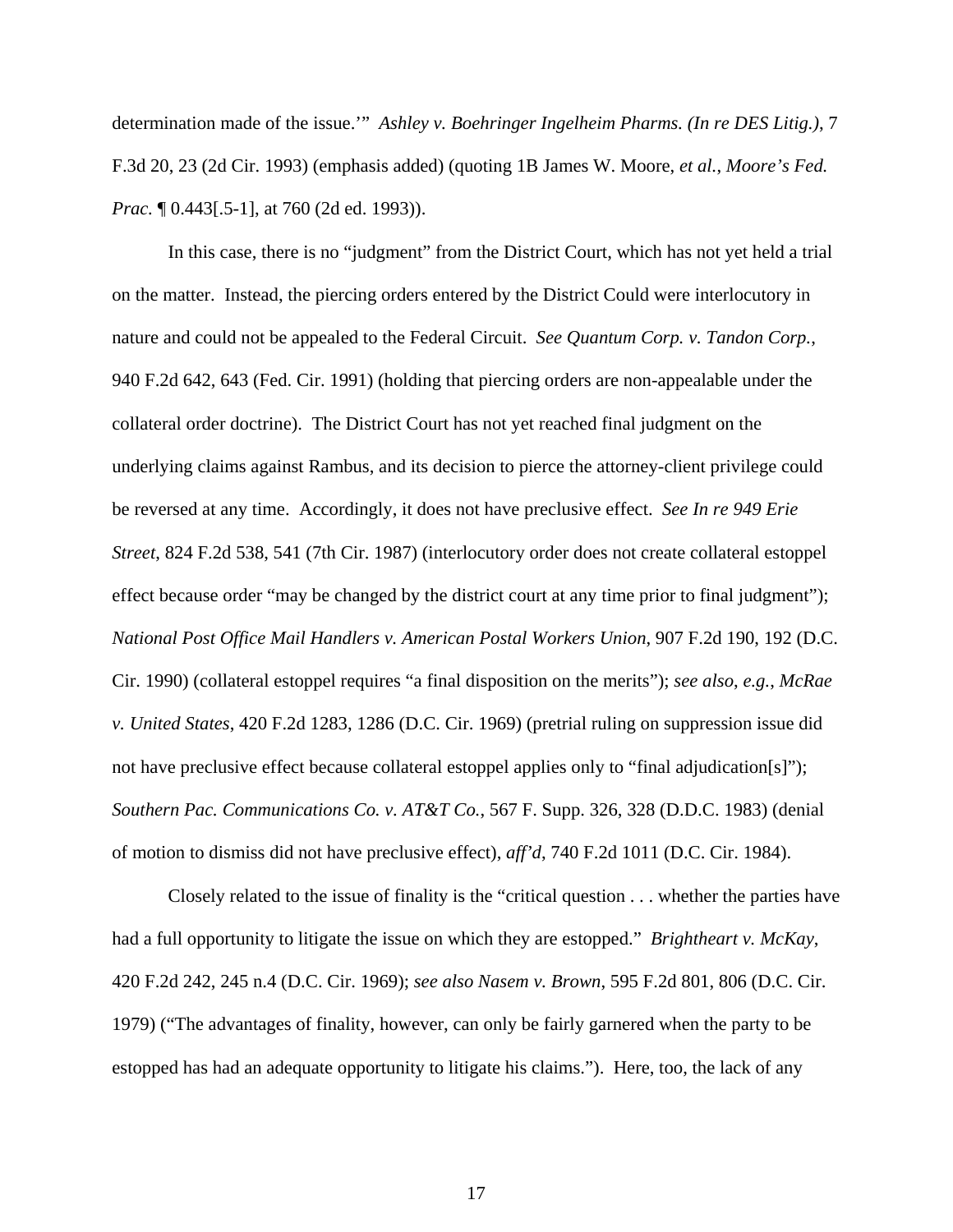determination made of the issue.'" *Ashley v. Boehringer Ingelheim Pharms. (In re DES Litig.)*, 7 F.3d 20, 23 (2d Cir. 1993) (emphasis added) (quoting 1B James W. Moore, *et al.*, *Moore's Fed. Prac.*  $[0.443]$ [.5-1], at 760 (2d ed. 1993)).

In this case, there is no "judgment" from the District Court, which has not yet held a trial on the matter. Instead, the piercing orders entered by the District Could were interlocutory in nature and could not be appealed to the Federal Circuit. *See Quantum Corp. v. Tandon Corp.*, 940 F.2d 642, 643 (Fed. Cir. 1991) (holding that piercing orders are non-appealable under the collateral order doctrine). The District Court has not yet reached final judgment on the underlying claims against Rambus, and its decision to pierce the attorney-client privilege could be reversed at any time. Accordingly, it does not have preclusive effect. *See In re 949 Erie Street*, 824 F.2d 538, 541 (7th Cir. 1987) (interlocutory order does not create collateral estoppel effect because order "may be changed by the district court at any time prior to final judgment"); *National Post Office Mail Handlers v. American Postal Workers Union*, 907 F.2d 190, 192 (D.C. Cir. 1990) (collateral estoppel requires "a final disposition on the merits"); *see also*, *e.g.*, *McRae v. United States*, 420 F.2d 1283, 1286 (D.C. Cir. 1969) (pretrial ruling on suppression issue did not have preclusive effect because collateral estoppel applies only to "final adjudication[s]"); *Southern Pac. Communications Co. v. AT&T Co.*, 567 F. Supp. 326, 328 (D.D.C. 1983) (denial of motion to dismiss did not have preclusive effect), *aff'd*, 740 F.2d 1011 (D.C. Cir. 1984).

Closely related to the issue of finality is the "critical question . . . whether the parties have had a full opportunity to litigate the issue on which they are estopped." *Brightheart v. McKay*, 420 F.2d 242, 245 n.4 (D.C. Cir. 1969); *see also Nasem v. Brown*, 595 F.2d 801, 806 (D.C. Cir. 1979) ("The advantages of finality, however, can only be fairly garnered when the party to be estopped has had an adequate opportunity to litigate his claims."). Here, too, the lack of any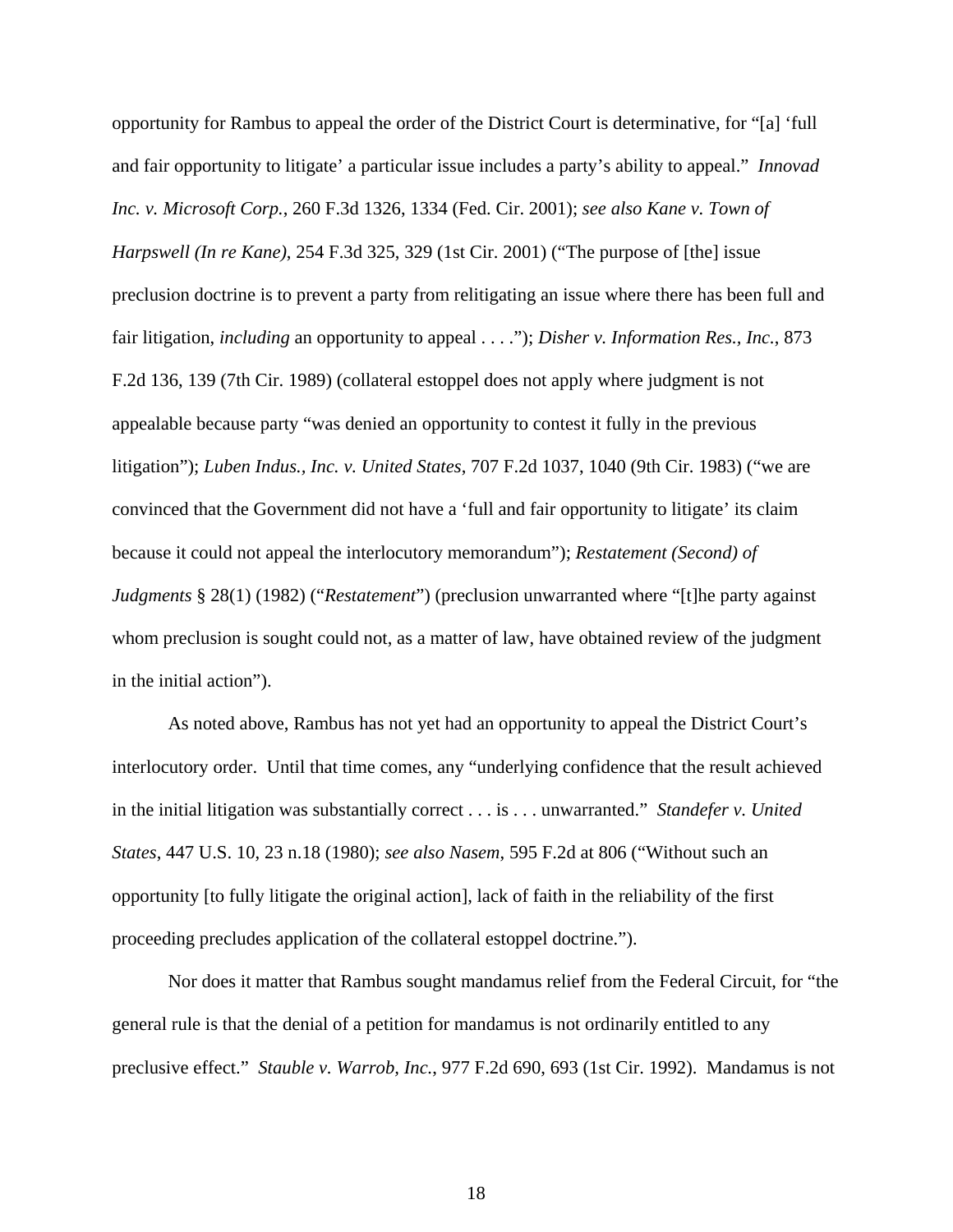opportunity for Rambus to appeal the order of the District Court is determinative, for "[a] 'full and fair opportunity to litigate' a particular issue includes a party's ability to appeal." *Innovad Inc. v. Microsoft Corp.*, 260 F.3d 1326, 1334 (Fed. Cir. 2001); *see also Kane v. Town of Harpswell (In re Kane)*, 254 F.3d 325, 329 (1st Cir. 2001) ("The purpose of [the] issue preclusion doctrine is to prevent a party from relitigating an issue where there has been full and fair litigation, *including* an opportunity to appeal . . . ."); *Disher v. Information Res., Inc.*, 873 F.2d 136, 139 (7th Cir. 1989) (collateral estoppel does not apply where judgment is not appealable because party "was denied an opportunity to contest it fully in the previous litigation"); *Luben Indus., Inc. v. United States*, 707 F.2d 1037, 1040 (9th Cir. 1983) ("we are convinced that the Government did not have a 'full and fair opportunity to litigate' its claim because it could not appeal the interlocutory memorandum"); *Restatement (Second) of Judgments* § 28(1) (1982) ("*Restatement*") (preclusion unwarranted where "[t]he party against whom preclusion is sought could not, as a matter of law, have obtained review of the judgment in the initial action").

As noted above, Rambus has not yet had an opportunity to appeal the District Court's interlocutory order. Until that time comes, any "underlying confidence that the result achieved in the initial litigation was substantially correct . . . is . . . unwarranted." *Standefer v. United States*, 447 U.S. 10, 23 n.18 (1980); *see also Nasem*, 595 F.2d at 806 ("Without such an opportunity [to fully litigate the original action], lack of faith in the reliability of the first proceeding precludes application of the collateral estoppel doctrine.").

Nor does it matter that Rambus sought mandamus relief from the Federal Circuit, for "the general rule is that the denial of a petition for mandamus is not ordinarily entitled to any preclusive effect." *Stauble v. Warrob, Inc.*, 977 F.2d 690, 693 (1st Cir. 1992). Mandamus is not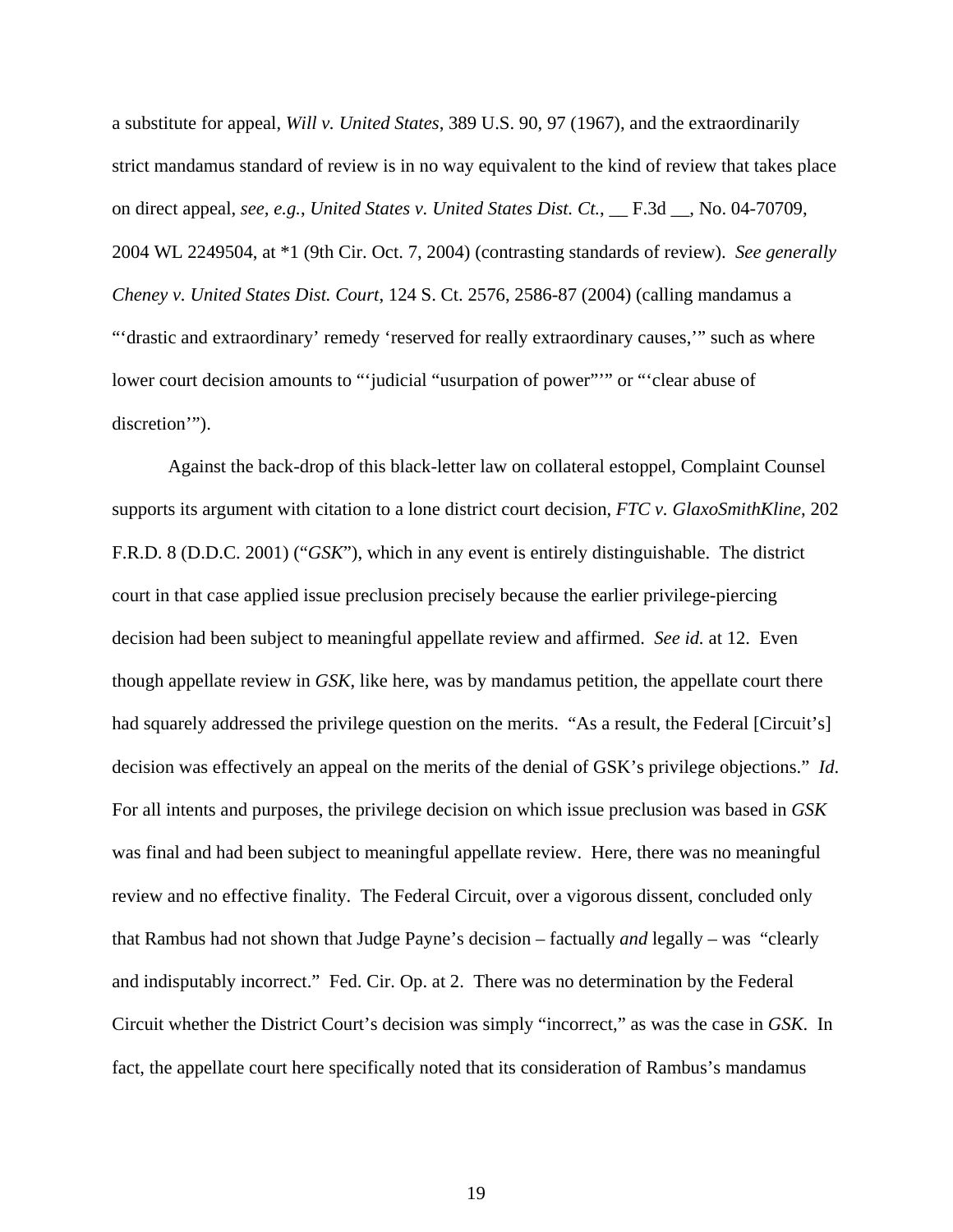a substitute for appeal, *Will v. United States*, 389 U.S. 90, 97 (1967), and the extraordinarily strict mandamus standard of review is in no way equivalent to the kind of review that takes place on direct appeal, *see, e.g.*, *United States v. United States Dist. Ct.*, \_\_ F.3d \_\_, No. 04-70709, 2004 WL 2249504, at \*1 (9th Cir. Oct. 7, 2004) (contrasting standards of review). *See generally Cheney v. United States Dist. Court*, 124 S. Ct. 2576, 2586-87 (2004) (calling mandamus a ""drastic and extraordinary' remedy 'reserved for really extraordinary causes," such as where lower court decision amounts to "'judicial "usurpation of power"" or "'clear abuse of discretion'").

Against the back-drop of this black-letter law on collateral estoppel, Complaint Counsel supports its argument with citation to a lone district court decision, *FTC v. GlaxoSmithKline*, 202 F.R.D. 8 (D.D.C. 2001) ("*GSK*"), which in any event is entirely distinguishable. The district court in that case applied issue preclusion precisely because the earlier privilege-piercing decision had been subject to meaningful appellate review and affirmed. *See id.* at 12. Even though appellate review in *GSK*, like here, was by mandamus petition, the appellate court there had squarely addressed the privilege question on the merits. "As a result, the Federal [Circuit's] decision was effectively an appeal on the merits of the denial of GSK's privilege objections." *Id*. For all intents and purposes, the privilege decision on which issue preclusion was based in *GSK* was final and had been subject to meaningful appellate review. Here, there was no meaningful review and no effective finality. The Federal Circuit, over a vigorous dissent, concluded only that Rambus had not shown that Judge Payne's decision – factually *and* legally – was "clearly and indisputably incorrect." Fed. Cir. Op. at 2. There was no determination by the Federal Circuit whether the District Court's decision was simply "incorrect," as was the case in *GSK*. In fact, the appellate court here specifically noted that its consideration of Rambus's mandamus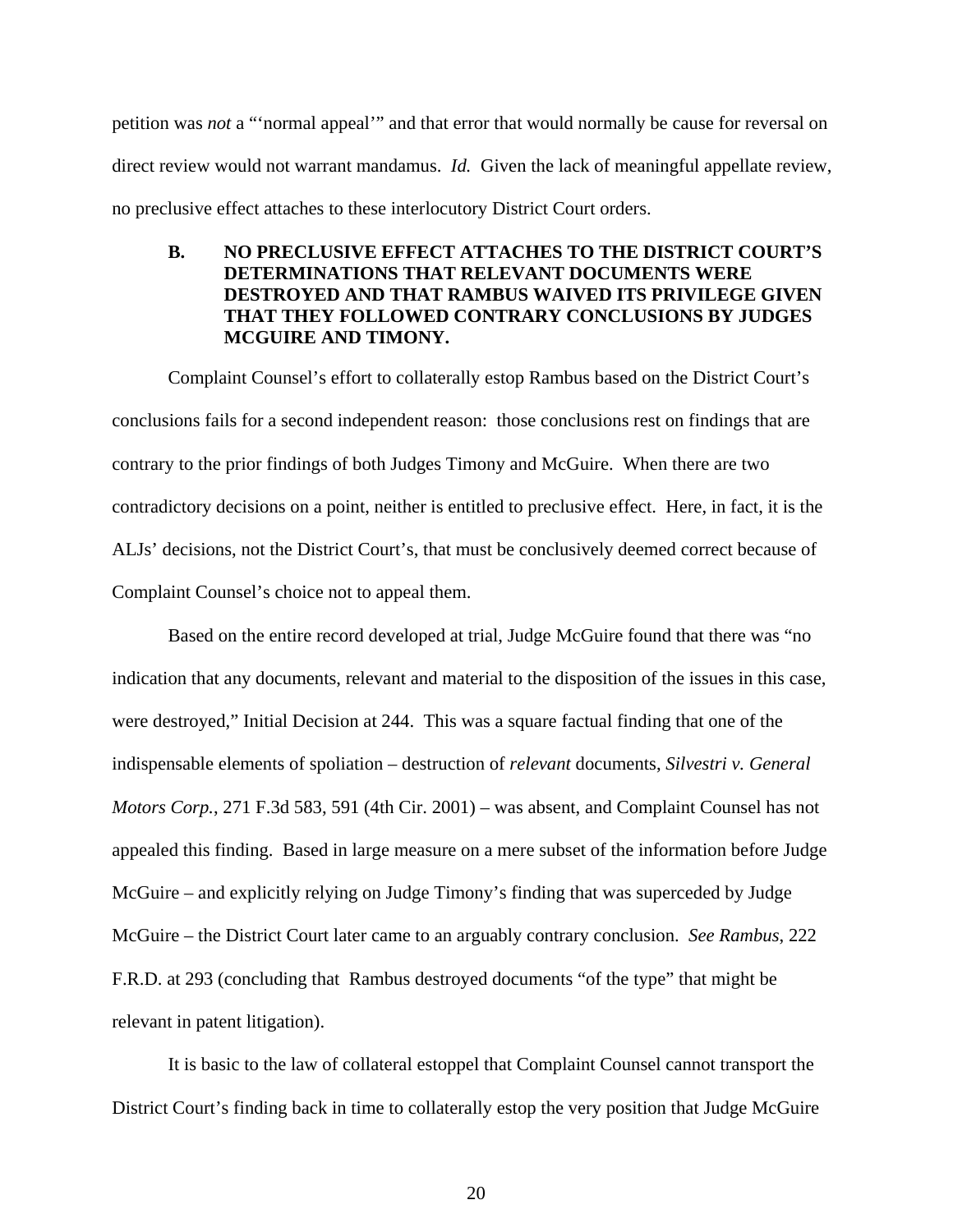petition was *not* a "'normal appeal'" and that error that would normally be cause for reversal on direct review would not warrant mandamus. *Id.* Given the lack of meaningful appellate review, no preclusive effect attaches to these interlocutory District Court orders.

# **B. NO PRECLUSIVE EFFECT ATTACHES TO THE DISTRICT COURT'S DETERMINATIONS THAT RELEVANT DOCUMENTS WERE DESTROYED AND THAT RAMBUS WAIVED ITS PRIVILEGE GIVEN THAT THEY FOLLOWED CONTRARY CONCLUSIONS BY JUDGES MCGUIRE AND TIMONY.**

Complaint Counsel's effort to collaterally estop Rambus based on the District Court's conclusions fails for a second independent reason: those conclusions rest on findings that are contrary to the prior findings of both Judges Timony and McGuire. When there are two contradictory decisions on a point, neither is entitled to preclusive effect. Here, in fact, it is the ALJs' decisions, not the District Court's, that must be conclusively deemed correct because of Complaint Counsel's choice not to appeal them.

Based on the entire record developed at trial, Judge McGuire found that there was "no indication that any documents, relevant and material to the disposition of the issues in this case, were destroyed," Initial Decision at 244. This was a square factual finding that one of the indispensable elements of spoliation – destruction of *relevant* documents, *Silvestri v. General Motors Corp.*, 271 F.3d 583, 591 (4th Cir. 2001) – was absent, and Complaint Counsel has not appealed this finding. Based in large measure on a mere subset of the information before Judge McGuire – and explicitly relying on Judge Timony's finding that was superceded by Judge McGuire – the District Court later came to an arguably contrary conclusion. *See Rambus*, 222 F.R.D. at 293 (concluding that Rambus destroyed documents "of the type" that might be relevant in patent litigation).

It is basic to the law of collateral estoppel that Complaint Counsel cannot transport the District Court's finding back in time to collaterally estop the very position that Judge McGuire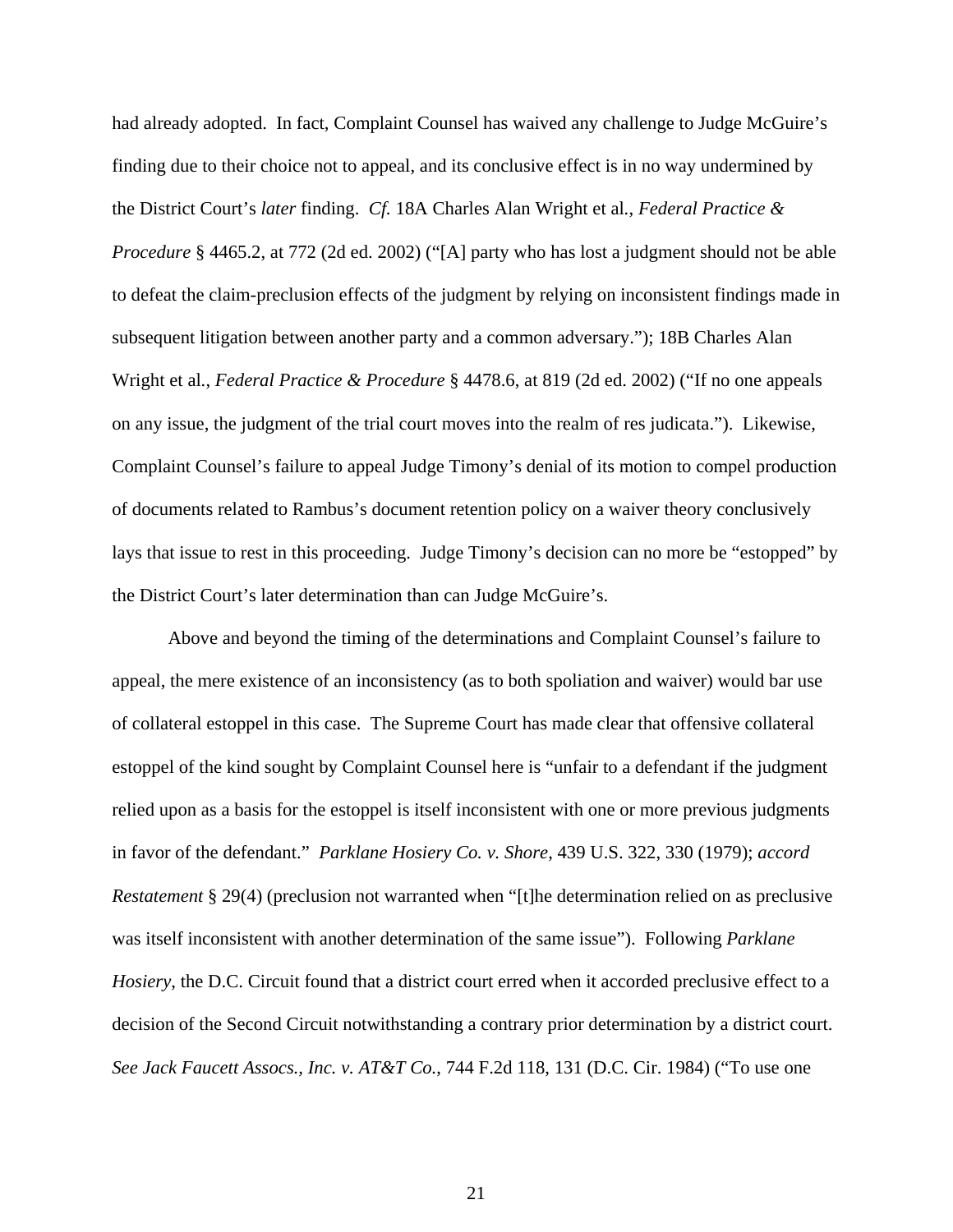had already adopted. In fact, Complaint Counsel has waived any challenge to Judge McGuire's finding due to their choice not to appeal, and its conclusive effect is in no way undermined by the District Court's *later* finding. *Cf.* 18A Charles Alan Wright et al*.*, *Federal Practice & Procedure* § 4465.2, at 772 (2d ed. 2002) ("[A] party who has lost a judgment should not be able to defeat the claim-preclusion effects of the judgment by relying on inconsistent findings made in subsequent litigation between another party and a common adversary."); 18B Charles Alan Wright et al*.*, *Federal Practice & Procedure* § 4478.6, at 819 (2d ed. 2002) ("If no one appeals on any issue, the judgment of the trial court moves into the realm of res judicata."). Likewise, Complaint Counsel's failure to appeal Judge Timony's denial of its motion to compel production of documents related to Rambus's document retention policy on a waiver theory conclusively lays that issue to rest in this proceeding. Judge Timony's decision can no more be "estopped" by the District Court's later determination than can Judge McGuire's.

Above and beyond the timing of the determinations and Complaint Counsel's failure to appeal, the mere existence of an inconsistency (as to both spoliation and waiver) would bar use of collateral estoppel in this case. The Supreme Court has made clear that offensive collateral estoppel of the kind sought by Complaint Counsel here is "unfair to a defendant if the judgment relied upon as a basis for the estoppel is itself inconsistent with one or more previous judgments in favor of the defendant." *Parklane Hosiery Co. v. Shore*, 439 U.S. 322, 330 (1979); *accord Restatement* § 29(4) (preclusion not warranted when "[t]he determination relied on as preclusive was itself inconsistent with another determination of the same issue"). Following *Parklane Hosiery*, the D.C. Circuit found that a district court erred when it accorded preclusive effect to a decision of the Second Circuit notwithstanding a contrary prior determination by a district court. *See Jack Faucett Assocs., Inc. v. AT&T Co.*, 744 F.2d 118, 131 (D.C. Cir. 1984) ("To use one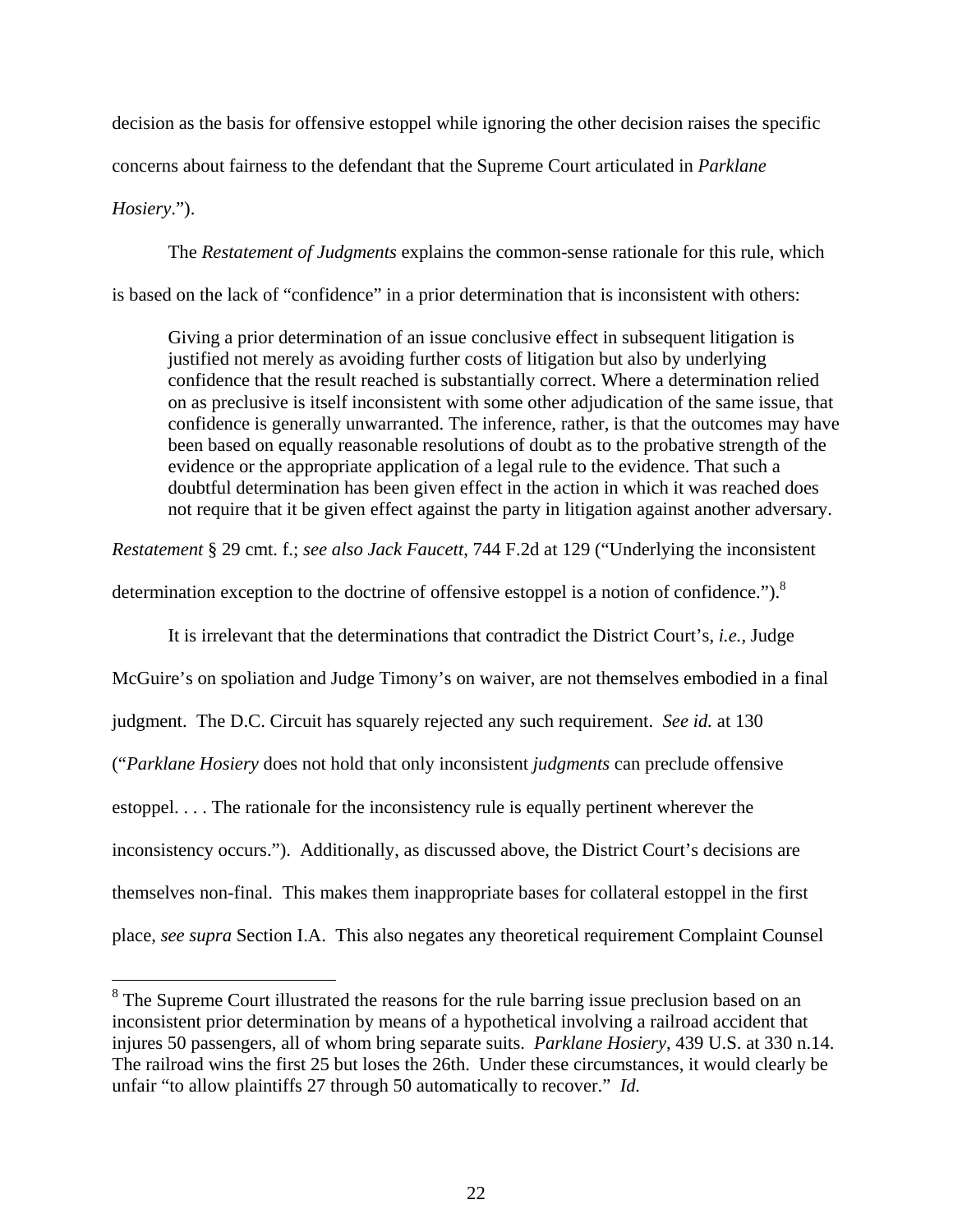decision as the basis for offensive estoppel while ignoring the other decision raises the specific

concerns about fairness to the defendant that the Supreme Court articulated in *Parklane* 

*Hosiery*.").

 $\overline{a}$ 

The *Restatement of Judgments* explains the common-sense rationale for this rule, which is based on the lack of "confidence" in a prior determination that is inconsistent with others:

Giving a prior determination of an issue conclusive effect in subsequent litigation is justified not merely as avoiding further costs of litigation but also by underlying confidence that the result reached is substantially correct. Where a determination relied on as preclusive is itself inconsistent with some other adjudication of the same issue, that confidence is generally unwarranted. The inference, rather, is that the outcomes may have been based on equally reasonable resolutions of doubt as to the probative strength of the evidence or the appropriate application of a legal rule to the evidence. That such a doubtful determination has been given effect in the action in which it was reached does not require that it be given effect against the party in litigation against another adversary.

*Restatement* § 29 cmt. f.; *see also Jack Faucett*, 744 F.2d at 129 ("Underlying the inconsistent

determination exception to the doctrine of offensive estoppel is a notion of confidence.").<sup>8</sup>

It is irrelevant that the determinations that contradict the District Court's, *i.e.*, Judge

McGuire's on spoliation and Judge Timony's on waiver, are not themselves embodied in a final

judgment. The D.C. Circuit has squarely rejected any such requirement. *See id.* at 130

("*Parklane Hosiery* does not hold that only inconsistent *judgments* can preclude offensive

estoppel. . . . The rationale for the inconsistency rule is equally pertinent wherever the

inconsistency occurs."). Additionally, as discussed above, the District Court's decisions are

themselves non-final. This makes them inappropriate bases for collateral estoppel in the first

place, *see supra* Section I.A. This also negates any theoretical requirement Complaint Counsel

<sup>&</sup>lt;sup>8</sup> The Supreme Court illustrated the reasons for the rule barring issue preclusion based on an inconsistent prior determination by means of a hypothetical involving a railroad accident that injures 50 passengers, all of whom bring separate suits. *Parklane Hosiery*, 439 U.S. at 330 n.14. The railroad wins the first 25 but loses the 26th. Under these circumstances, it would clearly be unfair "to allow plaintiffs 27 through 50 automatically to recover." *Id.*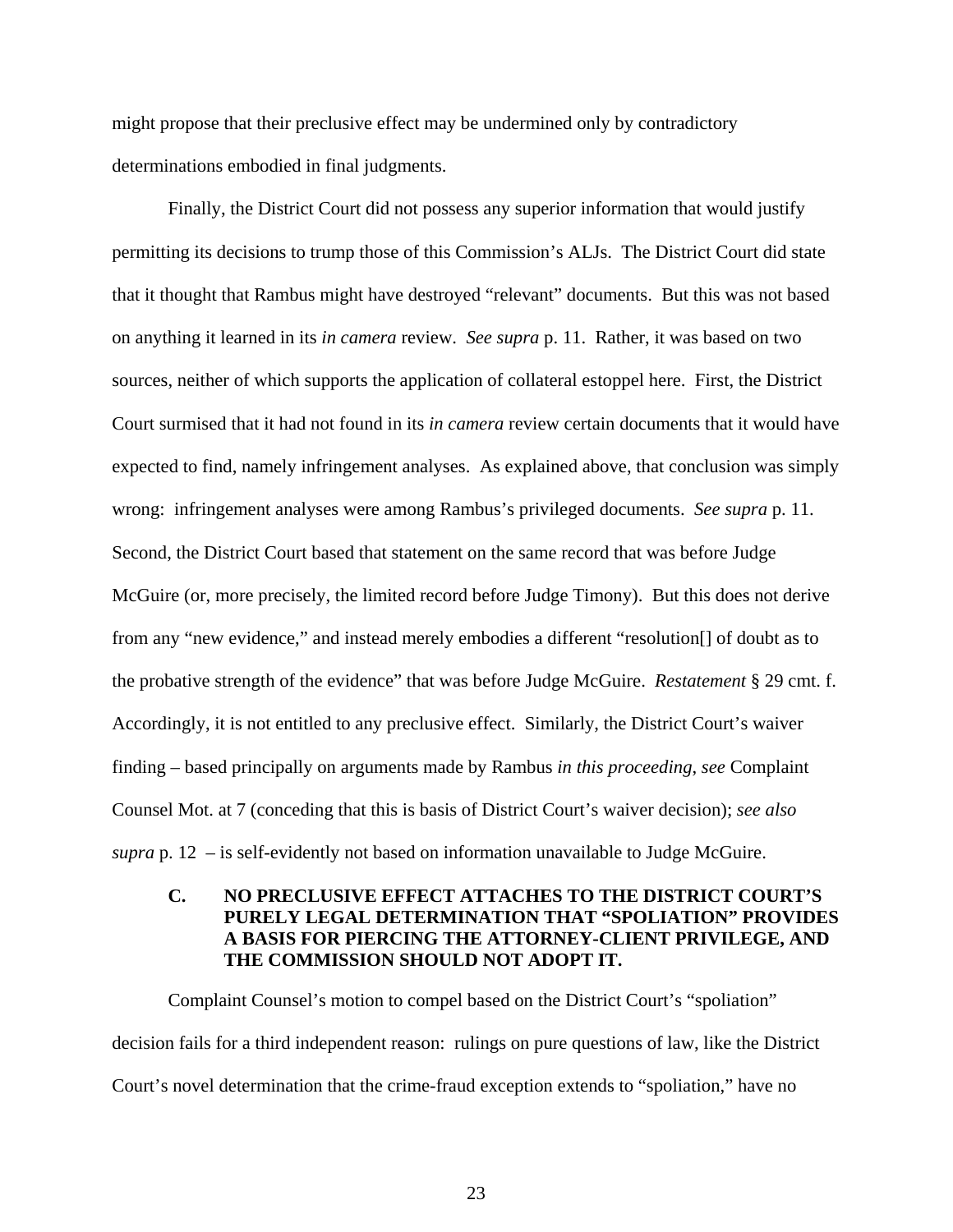might propose that their preclusive effect may be undermined only by contradictory determinations embodied in final judgments.

Finally, the District Court did not possess any superior information that would justify permitting its decisions to trump those of this Commission's ALJs. The District Court did state that it thought that Rambus might have destroyed "relevant" documents. But this was not based on anything it learned in its *in camera* review. *See supra* p. 11. Rather, it was based on two sources, neither of which supports the application of collateral estoppel here. First, the District Court surmised that it had not found in its *in camera* review certain documents that it would have expected to find, namely infringement analyses. As explained above, that conclusion was simply wrong: infringement analyses were among Rambus's privileged documents. *See supra* p. 11. Second, the District Court based that statement on the same record that was before Judge McGuire (or, more precisely, the limited record before Judge Timony). But this does not derive from any "new evidence," and instead merely embodies a different "resolution[] of doubt as to the probative strength of the evidence" that was before Judge McGuire. *Restatement* § 29 cmt. f. Accordingly, it is not entitled to any preclusive effect. Similarly, the District Court's waiver finding – based principally on arguments made by Rambus *in this proceeding*, *see* Complaint Counsel Mot. at 7 (conceding that this is basis of District Court's waiver decision); *see also supra* p. 12 – is self-evidently not based on information unavailable to Judge McGuire.

# **C. NO PRECLUSIVE EFFECT ATTACHES TO THE DISTRICT COURT'S PURELY LEGAL DETERMINATION THAT "SPOLIATION" PROVIDES A BASIS FOR PIERCING THE ATTORNEY-CLIENT PRIVILEGE, AND THE COMMISSION SHOULD NOT ADOPT IT.**

Complaint Counsel's motion to compel based on the District Court's "spoliation" decision fails for a third independent reason: rulings on pure questions of law, like the District Court's novel determination that the crime-fraud exception extends to "spoliation," have no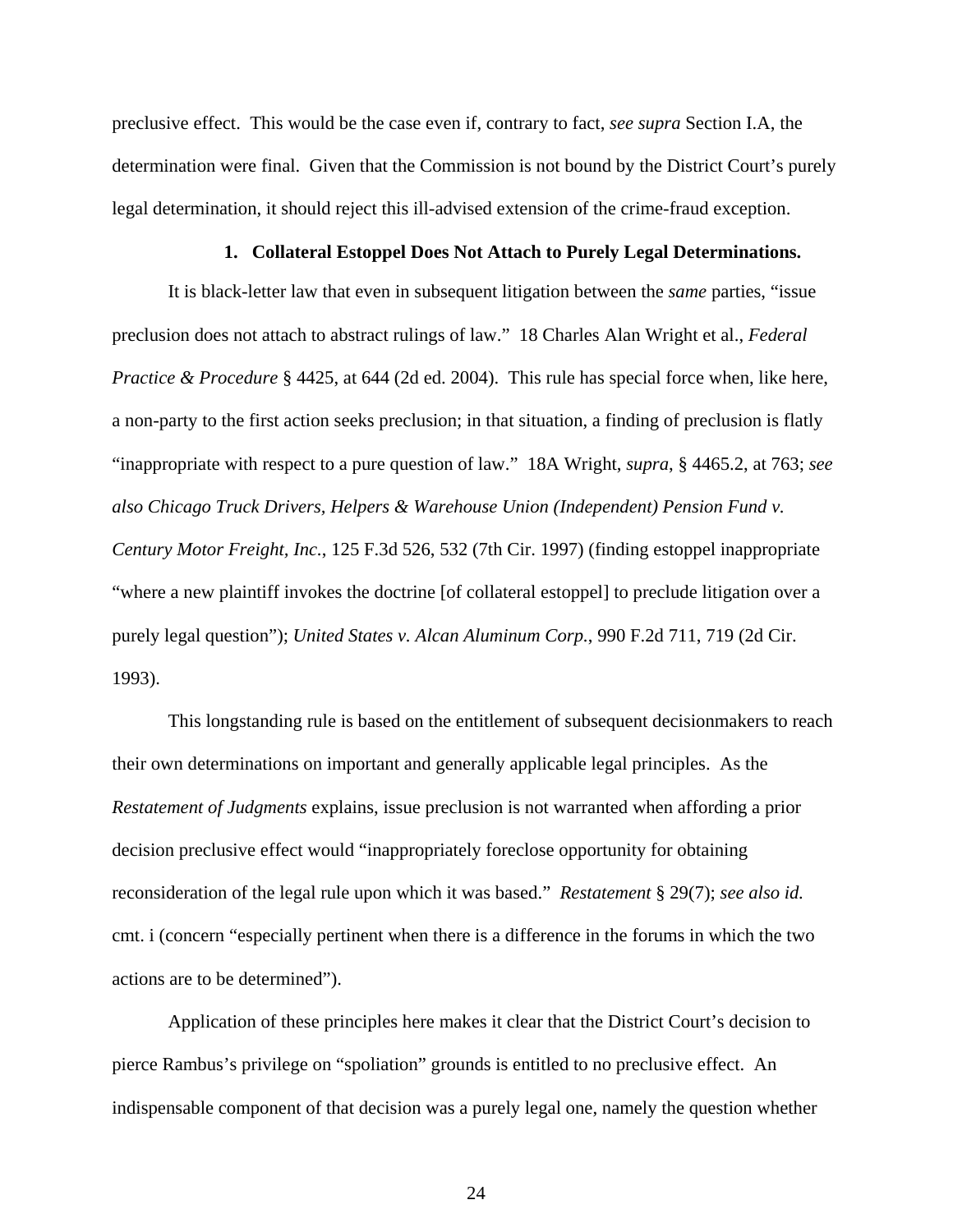preclusive effect. This would be the case even if, contrary to fact, *see supra* Section I.A, the determination were final. Given that the Commission is not bound by the District Court's purely legal determination, it should reject this ill-advised extension of the crime-fraud exception.

#### **1. Collateral Estoppel Does Not Attach to Purely Legal Determinations.**

It is black-letter law that even in subsequent litigation between the *same* parties, "issue preclusion does not attach to abstract rulings of law." 18 Charles Alan Wright et al., *Federal Practice & Procedure* § 4425, at 644 (2d ed. 2004). This rule has special force when, like here, a non-party to the first action seeks preclusion; in that situation, a finding of preclusion is flatly "inappropriate with respect to a pure question of law." 18A Wright, *supra*, § 4465.2, at 763; *see also Chicago Truck Drivers, Helpers & Warehouse Union (Independent) Pension Fund v. Century Motor Freight, Inc.*, 125 F.3d 526, 532 (7th Cir. 1997) (finding estoppel inappropriate "where a new plaintiff invokes the doctrine [of collateral estoppel] to preclude litigation over a purely legal question"); *United States v. Alcan Aluminum Corp.*, 990 F.2d 711, 719 (2d Cir. 1993).

This longstanding rule is based on the entitlement of subsequent decisionmakers to reach their own determinations on important and generally applicable legal principles. As the *Restatement of Judgments* explains, issue preclusion is not warranted when affording a prior decision preclusive effect would "inappropriately foreclose opportunity for obtaining reconsideration of the legal rule upon which it was based." *Restatement* § 29(7); *see also id.* cmt. i (concern "especially pertinent when there is a difference in the forums in which the two actions are to be determined").

Application of these principles here makes it clear that the District Court's decision to pierce Rambus's privilege on "spoliation" grounds is entitled to no preclusive effect. An indispensable component of that decision was a purely legal one, namely the question whether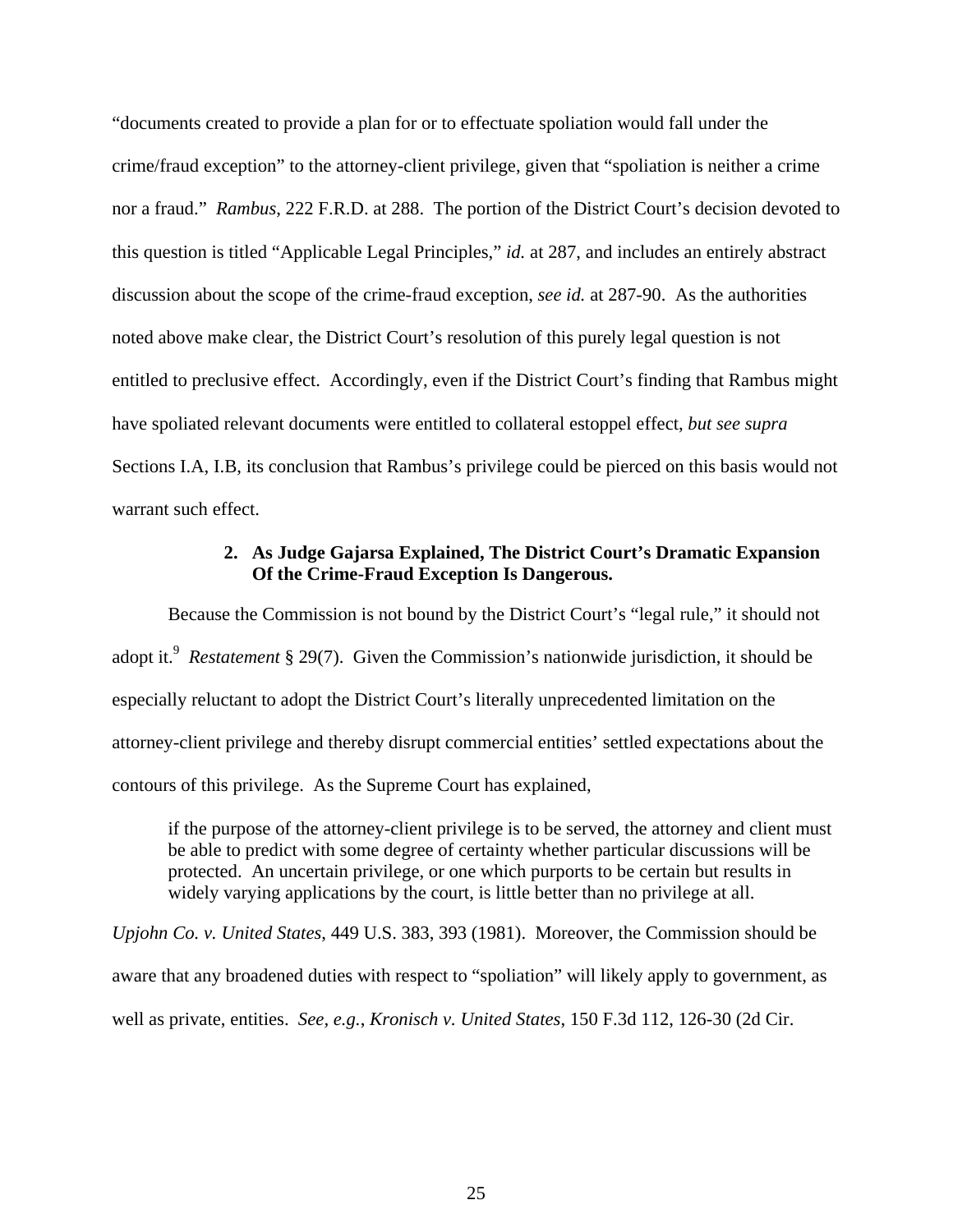"documents created to provide a plan for or to effectuate spoliation would fall under the crime/fraud exception" to the attorney-client privilege, given that "spoliation is neither a crime nor a fraud." *Rambus*, 222 F.R.D. at 288.The portion of the District Court's decision devoted to this question is titled "Applicable Legal Principles," *id.* at 287, and includes an entirely abstract discussion about the scope of the crime-fraud exception, *see id.* at 287-90. As the authorities noted above make clear, the District Court's resolution of this purely legal question is not entitled to preclusive effect. Accordingly, even if the District Court's finding that Rambus might have spoliated relevant documents were entitled to collateral estoppel effect, *but see supra* Sections I.A, I.B, its conclusion that Rambus's privilege could be pierced on this basis would not warrant such effect.

## **2. As Judge Gajarsa Explained, The District Court's Dramatic Expansion Of the Crime-Fraud Exception Is Dangerous.**

Because the Commission is not bound by the District Court's "legal rule," it should not adopt it.<sup>9</sup> Restatement § 29(7). Given the Commission's nationwide jurisdiction, it should be especially reluctant to adopt the District Court's literally unprecedented limitation on the attorney-client privilege and thereby disrupt commercial entities' settled expectations about the contours of this privilege. As the Supreme Court has explained,

if the purpose of the attorney-client privilege is to be served, the attorney and client must be able to predict with some degree of certainty whether particular discussions will be protected. An uncertain privilege, or one which purports to be certain but results in widely varying applications by the court, is little better than no privilege at all.

*Upjohn Co. v. United States*, 449 U.S. 383, 393 (1981). Moreover, the Commission should be aware that any broadened duties with respect to "spoliation" will likely apply to government, as well as private, entities. *See, e.g.*, *Kronisch v. United States*, 150 F.3d 112, 126-30 (2d Cir.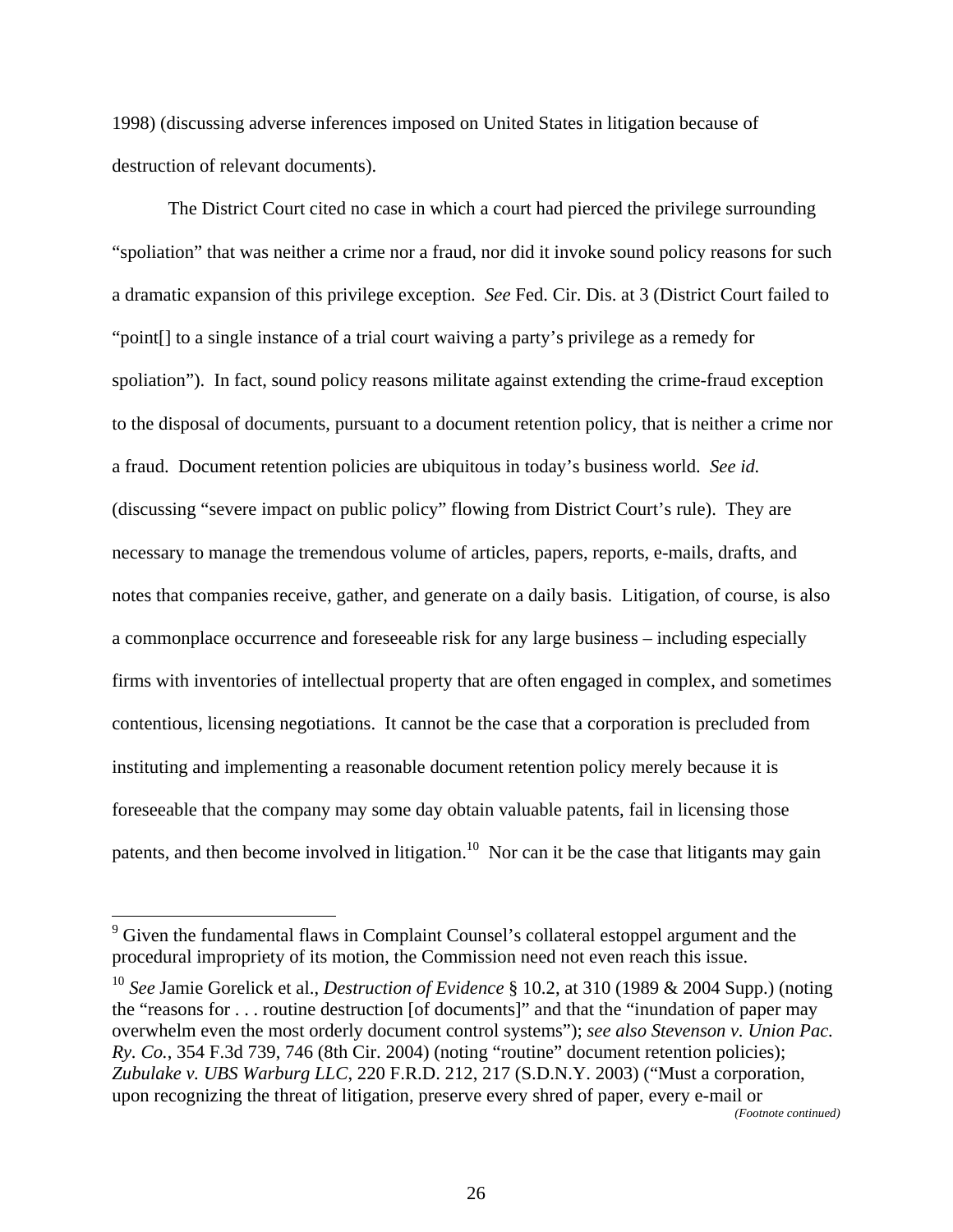1998) (discussing adverse inferences imposed on United States in litigation because of destruction of relevant documents).

The District Court cited no case in which a court had pierced the privilege surrounding "spoliation" that was neither a crime nor a fraud, nor did it invoke sound policy reasons for such a dramatic expansion of this privilege exception. *See* Fed. Cir. Dis. at 3 (District Court failed to "point[] to a single instance of a trial court waiving a party's privilege as a remedy for spoliation"). In fact, sound policy reasons militate against extending the crime-fraud exception to the disposal of documents, pursuant to a document retention policy, that is neither a crime nor a fraud. Document retention policies are ubiquitous in today's business world. *See id.*  (discussing "severe impact on public policy" flowing from District Court's rule). They are necessary to manage the tremendous volume of articles, papers, reports, e-mails, drafts, and notes that companies receive, gather, and generate on a daily basis. Litigation, of course, is also a commonplace occurrence and foreseeable risk for any large business – including especially firms with inventories of intellectual property that are often engaged in complex, and sometimes contentious, licensing negotiations. It cannot be the case that a corporation is precluded from instituting and implementing a reasonable document retention policy merely because it is foreseeable that the company may some day obtain valuable patents, fail in licensing those patents, and then become involved in litigation.<sup>10</sup> Nor can it be the case that litigants may gain

*(Footnote continued)*

<sup>&</sup>lt;sup>9</sup> Given the fundamental flaws in Complaint Counsel's collateral estoppel argument and the procedural impropriety of its motion, the Commission need not even reach this issue.

<sup>10</sup> *See* Jamie Gorelick et al., *Destruction of Evidence* § 10.2, at 310 (1989 & 2004 Supp.) (noting the "reasons for . . . routine destruction [of documents]" and that the "inundation of paper may overwhelm even the most orderly document control systems"); *see also Stevenson v. Union Pac. Ry. Co.*, 354 F.3d 739, 746 (8th Cir. 2004) (noting "routine" document retention policies); *Zubulake v. UBS Warburg LLC*, 220 F.R.D. 212, 217 (S.D.N.Y. 2003) ("Must a corporation, upon recognizing the threat of litigation, preserve every shred of paper, every e-mail or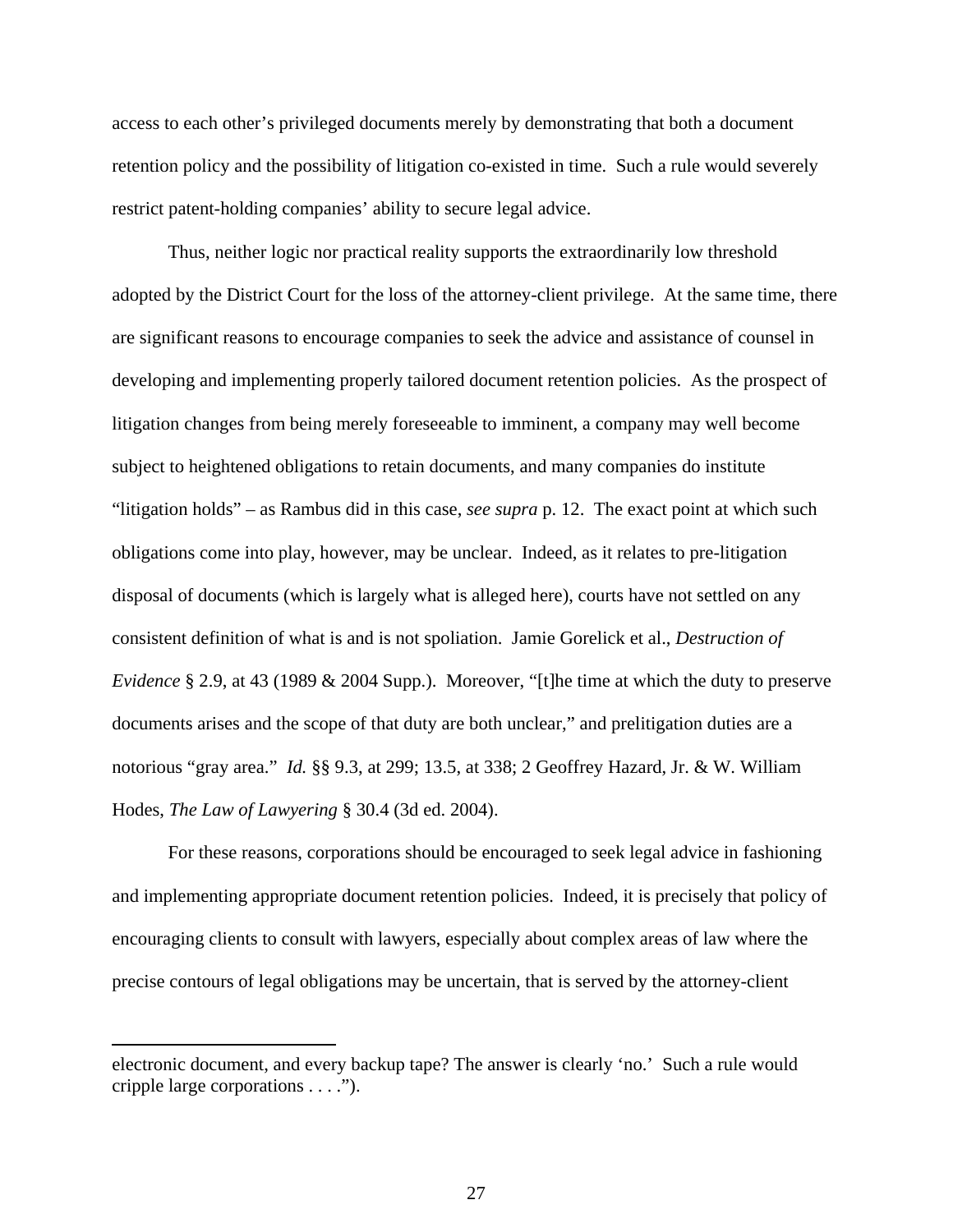access to each other's privileged documents merely by demonstrating that both a document retention policy and the possibility of litigation co-existed in time. Such a rule would severely restrict patent-holding companies' ability to secure legal advice.

Thus, neither logic nor practical reality supports the extraordinarily low threshold adopted by the District Court for the loss of the attorney-client privilege. At the same time, there are significant reasons to encourage companies to seek the advice and assistance of counsel in developing and implementing properly tailored document retention policies. As the prospect of litigation changes from being merely foreseeable to imminent, a company may well become subject to heightened obligations to retain documents, and many companies do institute "litigation holds" – as Rambus did in this case, *see supra* p. 12. The exact point at which such obligations come into play, however, may be unclear. Indeed, as it relates to pre-litigation disposal of documents (which is largely what is alleged here), courts have not settled on any consistent definition of what is and is not spoliation. Jamie Gorelick et al., *Destruction of Evidence* § 2.9, at 43 (1989 & 2004 Supp.). Moreover, "[t]he time at which the duty to preserve documents arises and the scope of that duty are both unclear," and prelitigation duties are a notorious "gray area." *Id.* §§ 9.3, at 299; 13.5, at 338; 2 Geoffrey Hazard, Jr. & W. William Hodes, *The Law of Lawyering* § 30.4 (3d ed. 2004).

For these reasons, corporations should be encouraged to seek legal advice in fashioning and implementing appropriate document retention policies. Indeed, it is precisely that policy of encouraging clients to consult with lawyers, especially about complex areas of law where the precise contours of legal obligations may be uncertain, that is served by the attorney-client

 $\overline{a}$ 

electronic document, and every backup tape? The answer is clearly 'no.' Such a rule would cripple large corporations . . . .").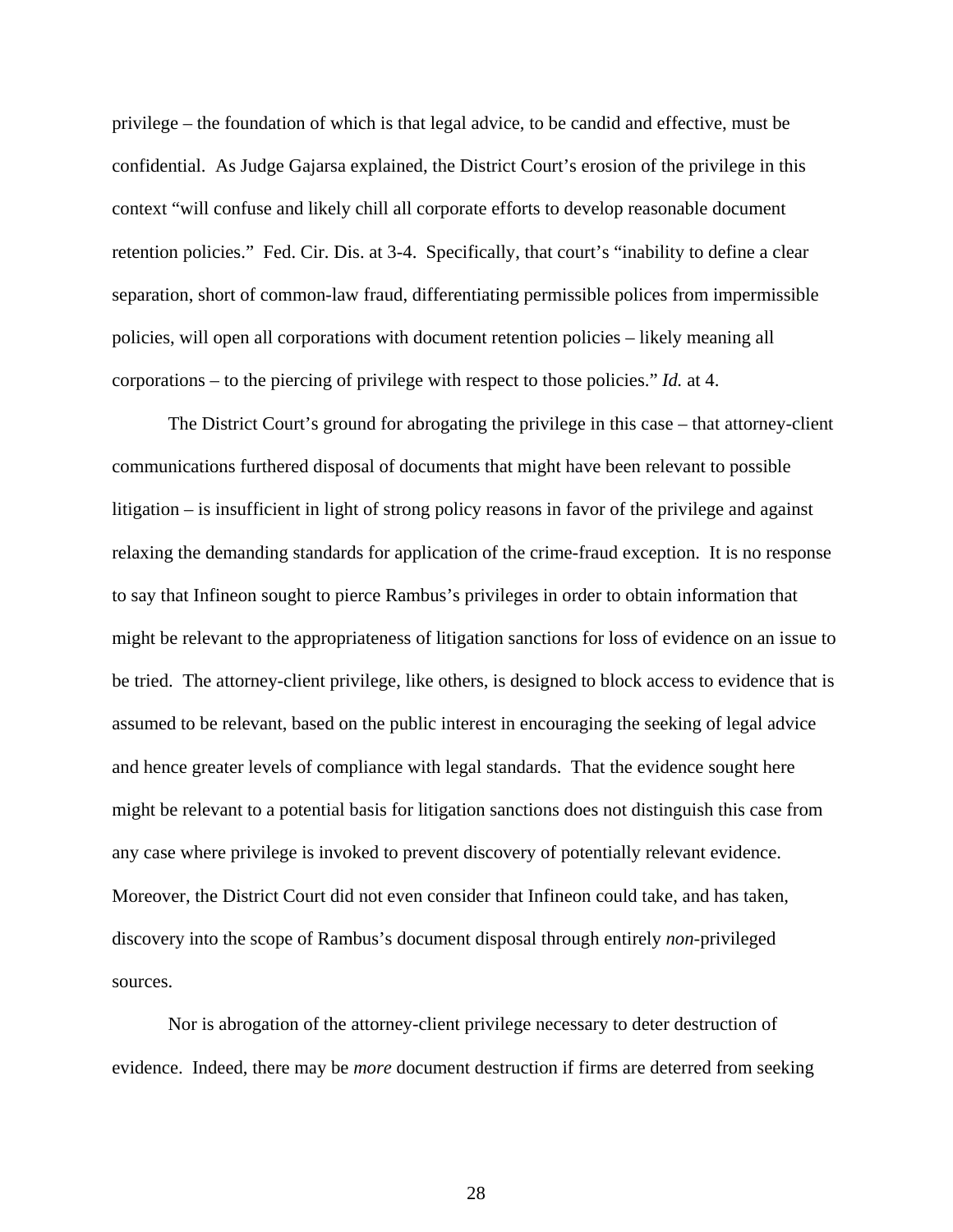privilege – the foundation of which is that legal advice, to be candid and effective, must be confidential. As Judge Gajarsa explained, the District Court's erosion of the privilege in this context "will confuse and likely chill all corporate efforts to develop reasonable document retention policies." Fed. Cir. Dis. at 3-4. Specifically, that court's "inability to define a clear separation, short of common-law fraud, differentiating permissible polices from impermissible policies, will open all corporations with document retention policies – likely meaning all corporations – to the piercing of privilege with respect to those policies." *Id.* at 4.

The District Court's ground for abrogating the privilege in this case – that attorney-client communications furthered disposal of documents that might have been relevant to possible litigation – is insufficient in light of strong policy reasons in favor of the privilege and against relaxing the demanding standards for application of the crime-fraud exception. It is no response to say that Infineon sought to pierce Rambus's privileges in order to obtain information that might be relevant to the appropriateness of litigation sanctions for loss of evidence on an issue to be tried. The attorney-client privilege, like others, is designed to block access to evidence that is assumed to be relevant, based on the public interest in encouraging the seeking of legal advice and hence greater levels of compliance with legal standards. That the evidence sought here might be relevant to a potential basis for litigation sanctions does not distinguish this case from any case where privilege is invoked to prevent discovery of potentially relevant evidence. Moreover, the District Court did not even consider that Infineon could take, and has taken, discovery into the scope of Rambus's document disposal through entirely *non*-privileged sources.

Nor is abrogation of the attorney-client privilege necessary to deter destruction of evidence. Indeed, there may be *more* document destruction if firms are deterred from seeking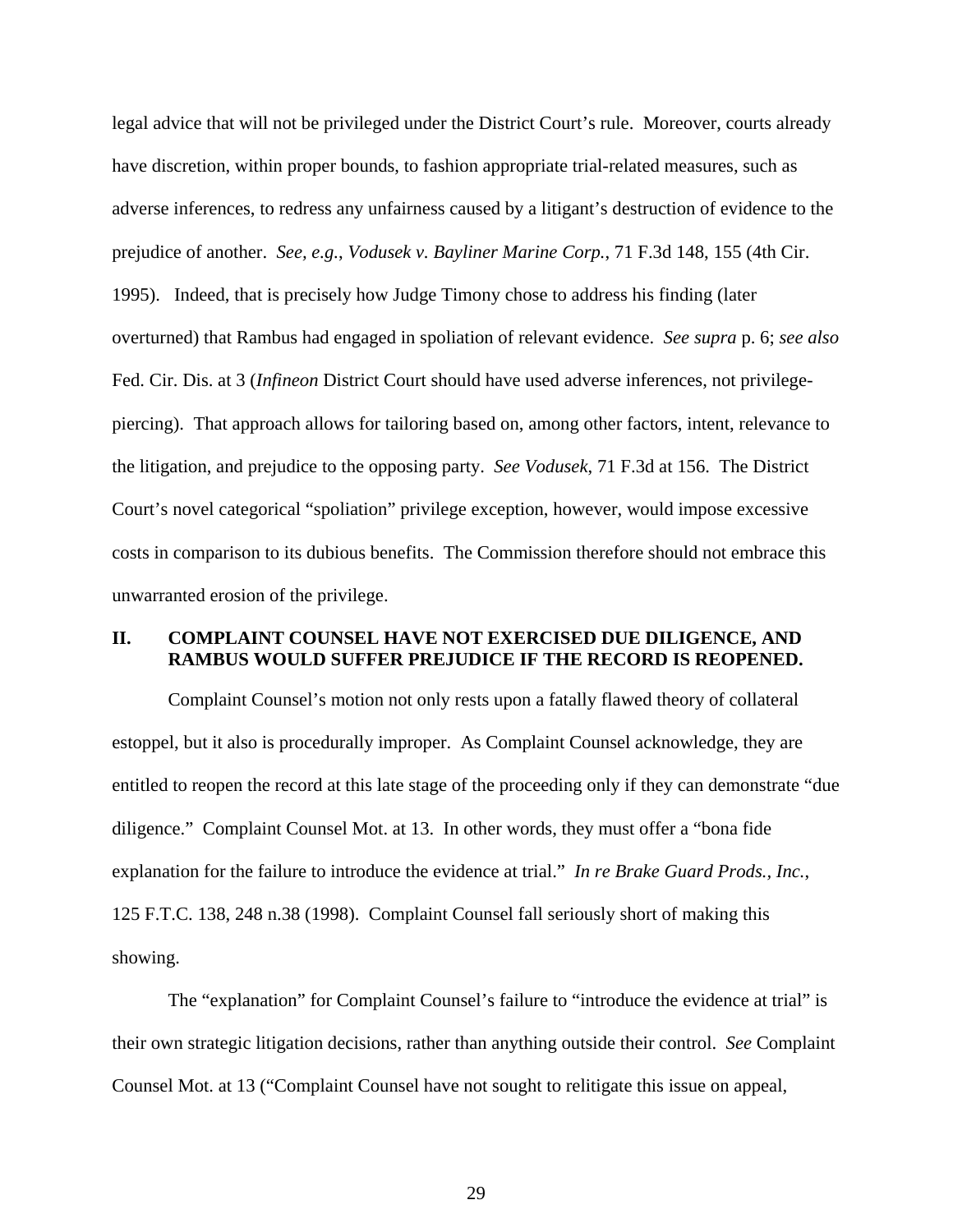legal advice that will not be privileged under the District Court's rule. Moreover, courts already have discretion, within proper bounds, to fashion appropriate trial-related measures, such as adverse inferences, to redress any unfairness caused by a litigant's destruction of evidence to the prejudice of another. *See, e.g.*, *Vodusek v. Bayliner Marine Corp.*, 71 F.3d 148, 155 (4th Cir. 1995). Indeed, that is precisely how Judge Timony chose to address his finding (later overturned) that Rambus had engaged in spoliation of relevant evidence. *See supra* p. 6; *see also* Fed. Cir. Dis. at 3 (*Infineon* District Court should have used adverse inferences, not privilegepiercing). That approach allows for tailoring based on, among other factors, intent, relevance to the litigation, and prejudice to the opposing party. *See Vodusek*, 71 F.3d at 156. The District Court's novel categorical "spoliation" privilege exception, however, would impose excessive costs in comparison to its dubious benefits. The Commission therefore should not embrace this unwarranted erosion of the privilege.

# **II. COMPLAINT COUNSEL HAVE NOT EXERCISED DUE DILIGENCE, AND RAMBUS WOULD SUFFER PREJUDICE IF THE RECORD IS REOPENED.**

Complaint Counsel's motion not only rests upon a fatally flawed theory of collateral estoppel, but it also is procedurally improper. As Complaint Counsel acknowledge, they are entitled to reopen the record at this late stage of the proceeding only if they can demonstrate "due diligence." Complaint Counsel Mot. at 13. In other words, they must offer a "bona fide explanation for the failure to introduce the evidence at trial." *In re Brake Guard Prods., Inc.*, 125 F.T.C. 138, 248 n.38 (1998). Complaint Counsel fall seriously short of making this showing.

The "explanation" for Complaint Counsel's failure to "introduce the evidence at trial" is their own strategic litigation decisions, rather than anything outside their control. *See* Complaint Counsel Mot. at 13 ("Complaint Counsel have not sought to relitigate this issue on appeal,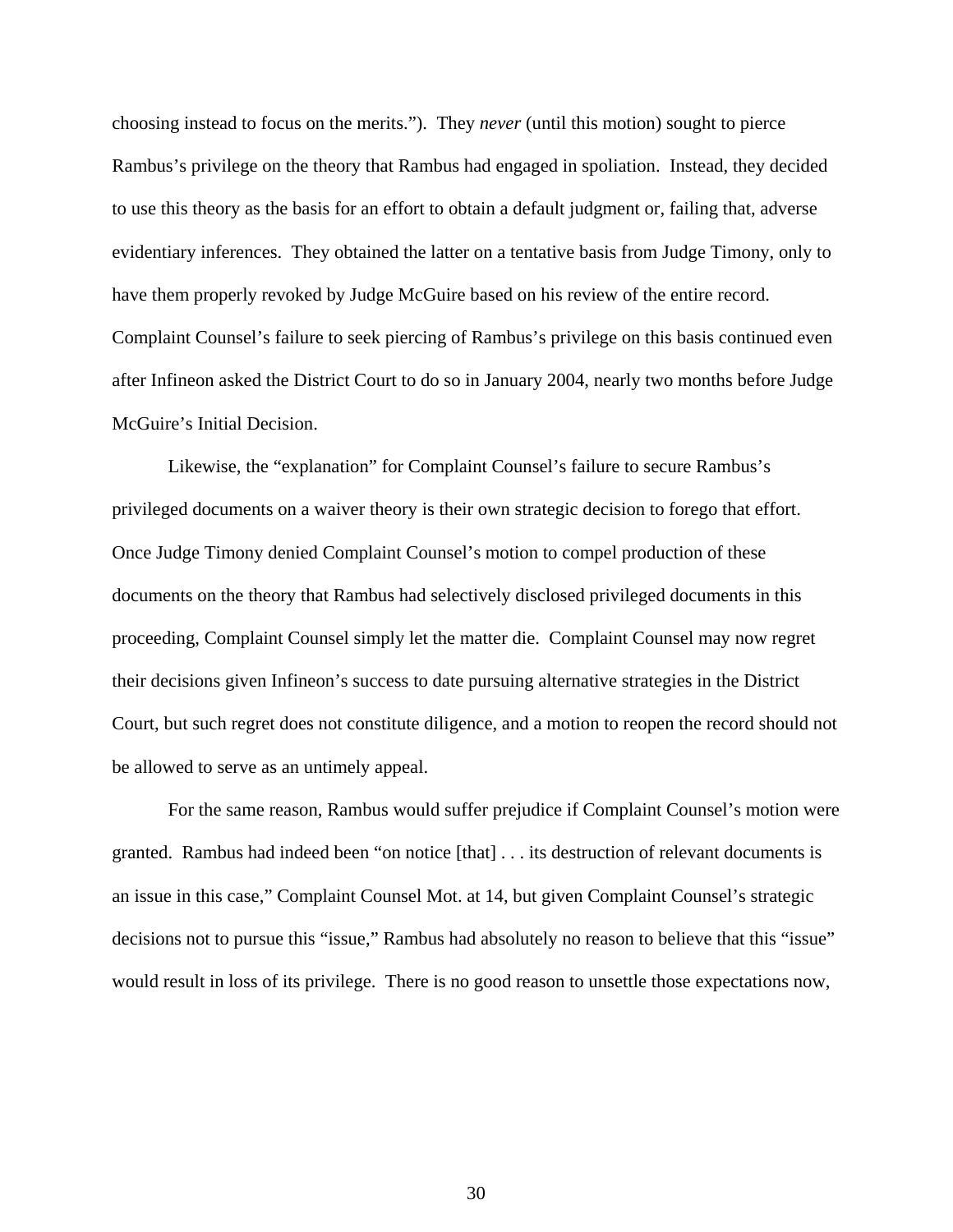choosing instead to focus on the merits."). They *never* (until this motion) sought to pierce Rambus's privilege on the theory that Rambus had engaged in spoliation. Instead, they decided to use this theory as the basis for an effort to obtain a default judgment or, failing that, adverse evidentiary inferences. They obtained the latter on a tentative basis from Judge Timony, only to have them properly revoked by Judge McGuire based on his review of the entire record. Complaint Counsel's failure to seek piercing of Rambus's privilege on this basis continued even after Infineon asked the District Court to do so in January 2004, nearly two months before Judge McGuire's Initial Decision.

Likewise, the "explanation" for Complaint Counsel's failure to secure Rambus's privileged documents on a waiver theory is their own strategic decision to forego that effort. Once Judge Timony denied Complaint Counsel's motion to compel production of these documents on the theory that Rambus had selectively disclosed privileged documents in this proceeding, Complaint Counsel simply let the matter die. Complaint Counsel may now regret their decisions given Infineon's success to date pursuing alternative strategies in the District Court, but such regret does not constitute diligence, and a motion to reopen the record should not be allowed to serve as an untimely appeal.

For the same reason, Rambus would suffer prejudice if Complaint Counsel's motion were granted. Rambus had indeed been "on notice [that] . . . its destruction of relevant documents is an issue in this case," Complaint Counsel Mot. at 14, but given Complaint Counsel's strategic decisions not to pursue this "issue," Rambus had absolutely no reason to believe that this "issue" would result in loss of its privilege. There is no good reason to unsettle those expectations now,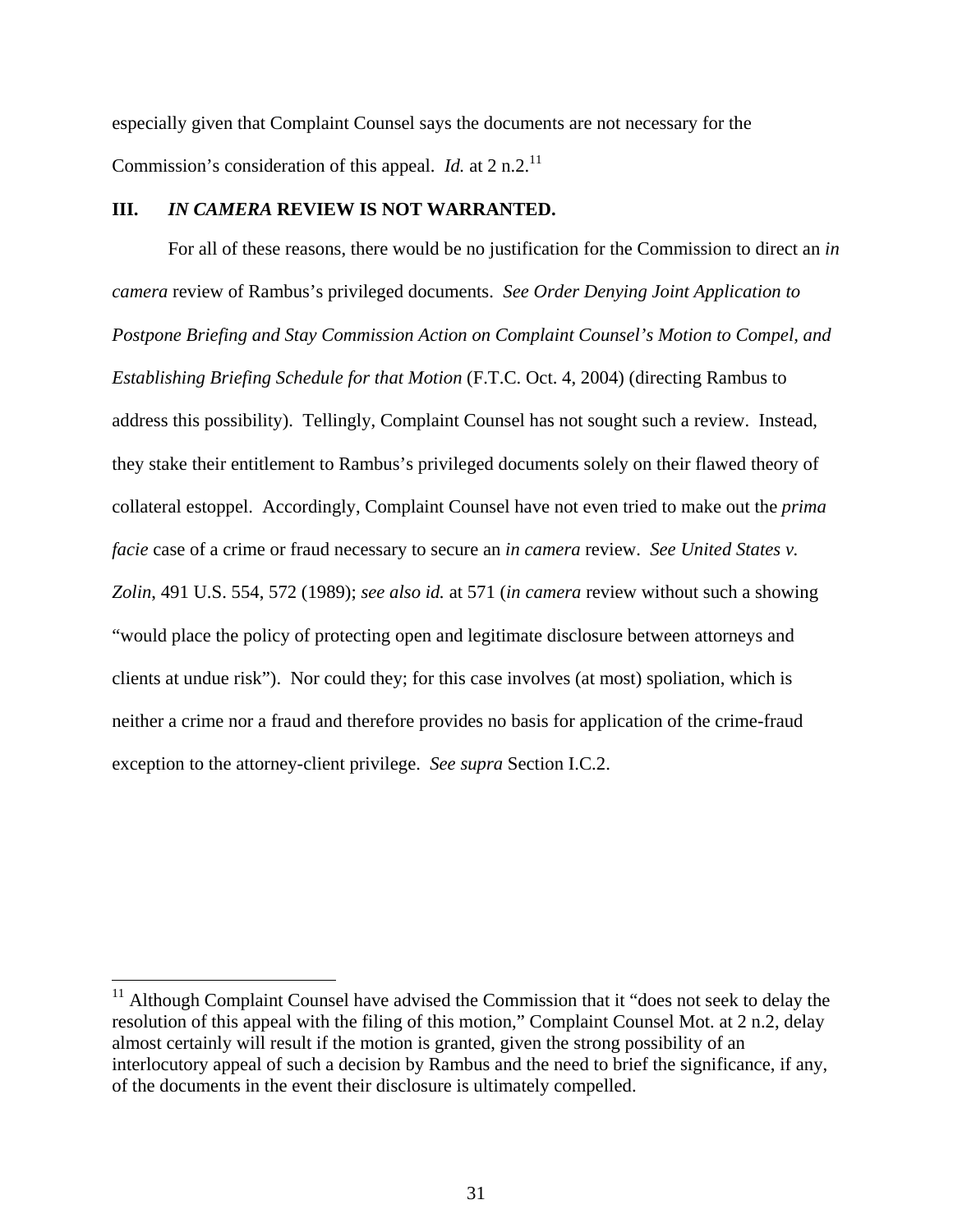especially given that Complaint Counsel says the documents are not necessary for the Commission's consideration of this appeal. *Id.* at 2 n.2.<sup>11</sup>

## **III.** *IN CAMERA* **REVIEW IS NOT WARRANTED.**

For all of these reasons, there would be no justification for the Commission to direct an *in camera* review of Rambus's privileged documents. *See Order Denying Joint Application to Postpone Briefing and Stay Commission Action on Complaint Counsel's Motion to Compel, and Establishing Briefing Schedule for that Motion* (F.T.C. Oct. 4, 2004) (directing Rambus to address this possibility). Tellingly, Complaint Counsel has not sought such a review. Instead, they stake their entitlement to Rambus's privileged documents solely on their flawed theory of collateral estoppel. Accordingly, Complaint Counsel have not even tried to make out the *prima facie* case of a crime or fraud necessary to secure an *in camera* review. *See United States v. Zolin*, 491 U.S. 554, 572 (1989); *see also id.* at 571 (*in camera* review without such a showing "would place the policy of protecting open and legitimate disclosure between attorneys and clients at undue risk"). Nor could they; for this case involves (at most) spoliation, which is neither a crime nor a fraud and therefore provides no basis for application of the crime-fraud exception to the attorney-client privilege. *See supra* Section I.C.2.

 $11$  Although Complaint Counsel have advised the Commission that it "does not seek to delay the resolution of this appeal with the filing of this motion," Complaint Counsel Mot. at 2 n.2, delay almost certainly will result if the motion is granted, given the strong possibility of an interlocutory appeal of such a decision by Rambus and the need to brief the significance, if any, of the documents in the event their disclosure is ultimately compelled.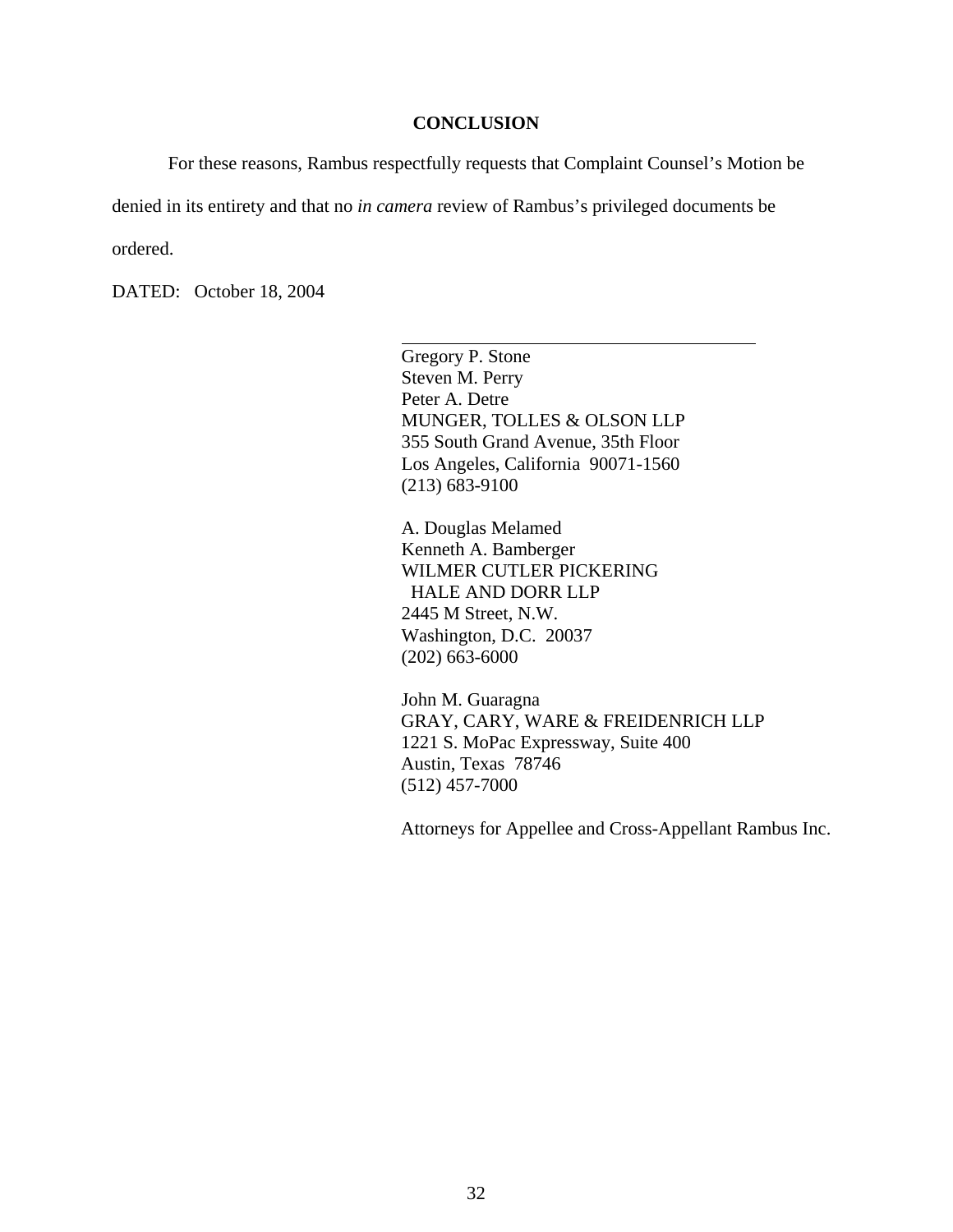#### **CONCLUSION**

For these reasons, Rambus respectfully requests that Complaint Counsel's Motion be

denied in its entirety and that no *in camera* review of Rambus's privileged documents be

l

ordered.

DATED: October 18, 2004

Gregory P. Stone Steven M. Perry Peter A. Detre MUNGER, TOLLES & OLSON LLP 355 South Grand Avenue, 35th Floor Los Angeles, California 90071-1560 (213) 683-9100

A. Douglas Melamed Kenneth A. Bamberger WILMER CUTLER PICKERING HALE AND DORR LLP 2445 M Street, N.W. Washington, D.C. 20037 (202) 663-6000

John M. Guaragna GRAY, CARY, WARE & FREIDENRICH LLP 1221 S. MoPac Expressway, Suite 400 Austin, Texas 78746 (512) 457-7000

Attorneys for Appellee and Cross-Appellant Rambus Inc.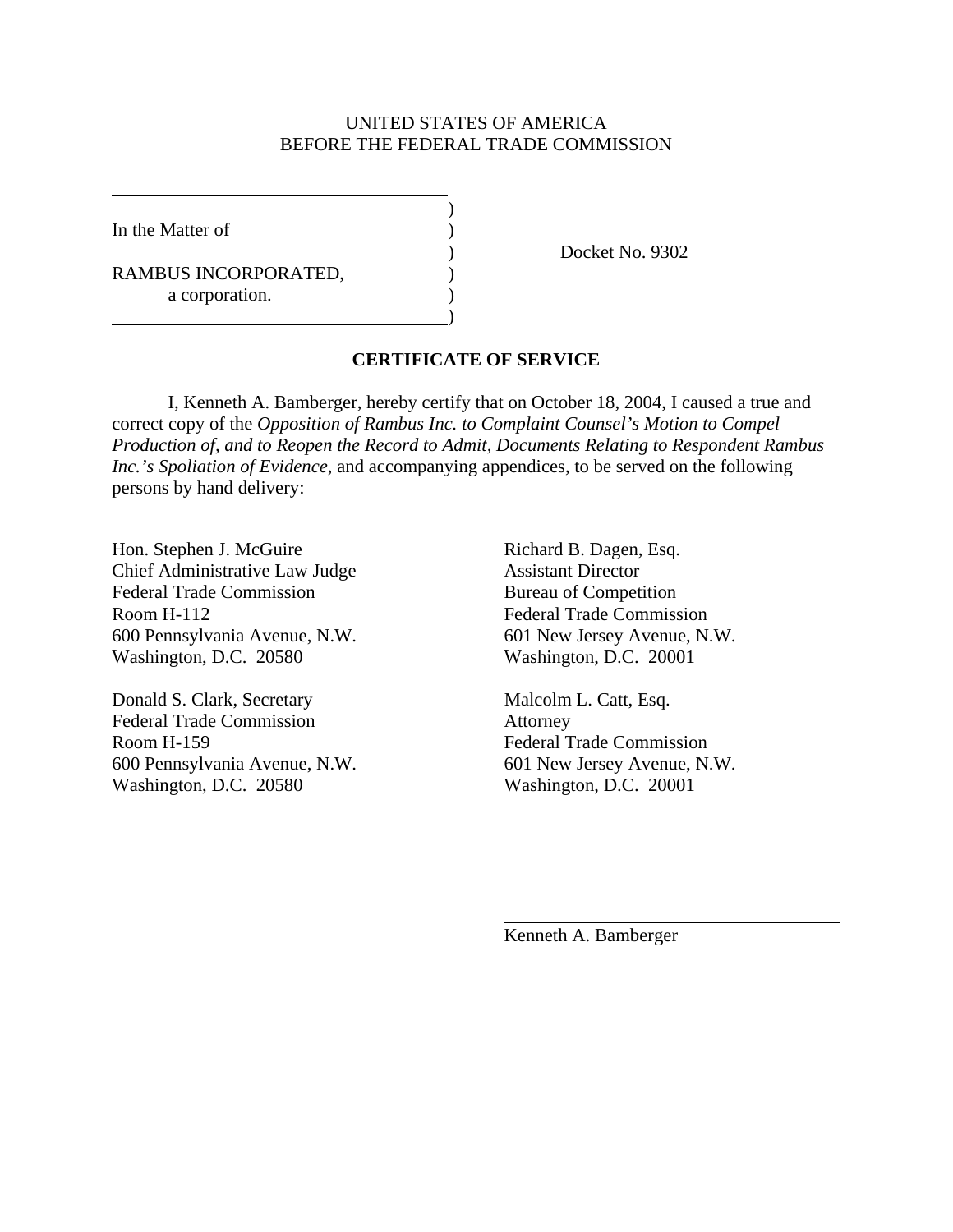# UNITED STATES OF AMERICA BEFORE THE FEDERAL TRADE COMMISSION

In the Matter of  $\qquad \qquad$  )

 $\overline{a}$ 

RAMBUS INCORPORATED, a corporation.

 $\overline{\phantom{a}}$ 

 $\hspace{1.5cm}$ ) and  $\hspace{1.5cm}$  and  $\hspace{1.5cm}$  and  $\hspace{1.5cm}$ 

) Docket No. 9302

# **CERTIFICATE OF SERVICE**

I, Kenneth A. Bamberger, hereby certify that on October 18, 2004, I caused a true and correct copy of the *Opposition of Rambus Inc. to Complaint Counsel's Motion to Compel Production of, and to Reopen the Record to Admit, Documents Relating to Respondent Rambus Inc.'s Spoliation of Evidence*, and accompanying appendices, to be served on the following persons by hand delivery:

Hon. Stephen J. McGuire Richard B. Dagen, Esq. Chief Administrative Law Judge Assistant Director Federal Trade Commission Bureau of Competition Room H-112 Federal Trade Commission 600 Pennsylvania Avenue, N.W. 601 New Jersey Avenue, N.W. Washington, D.C. 20580 Washington, D.C. 20001

Donald S. Clark, Secretary Malcolm L. Catt, Esq. Federal Trade Commission **Attorney** Room H-159 Federal Trade Commission 600 Pennsylvania Avenue, N.W. 601 New Jersey Avenue, N.W. Washington, D.C. 20580 Washington, D.C. 20001

Kenneth A. Bamberger